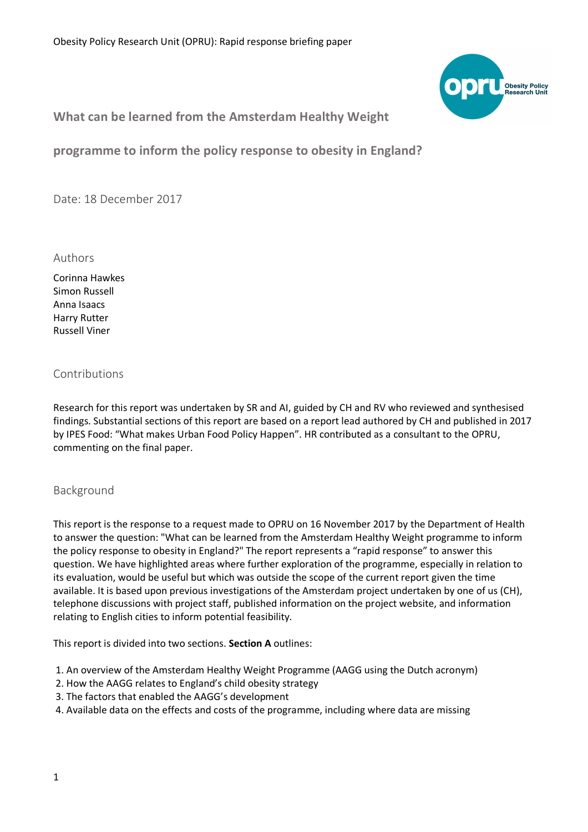

# **What can be learned from the Amsterdam Healthy Weight**

**programme to inform the policy response to obesity in England?**

Date: 18 December 2017

Authors

Corinna Hawkes Simon Russell Anna Isaacs Harry Rutter Russell Viner

# Contributions

Research for this report was undertaken by SR and AI, guided by CH and RV who reviewed and synthesised findings. Substantial sections of this report are based on a report lead authored by CH and published in 2017 by IPES Food: "What makes Urban Food Policy Happen". HR contributed as a consultant to the OPRU, commenting on the final paper.

#### Background

This report is the response to a request made to OPRU on 16 November 2017 by the Department of Health to answer the question: "What can be learned from the Amsterdam Healthy Weight programme to inform the policy response to obesity in England?" The report represents a "rapid response" to answer this question. We have highlighted areas where further exploration of the programme, especially in relation to its evaluation, would be useful but which was outside the scope of the current report given the time available. It is based upon previous investigations of the Amsterdam project undertaken by one of us (CH), telephone discussions with project staff, published information on the project website, and information relating to English cities to inform potential feasibility.

This report is divided into two sections. **Section A** outlines:

1. An overview of the Amsterdam Healthy Weight Programme (AAGG using the Dutch acronym)

- 2. How the AAGG relates to England's child obesity strategy
- 3. The factors that enabled the AAGG's development
- 4. Available data on the effects and costs of the programme, including where data are missing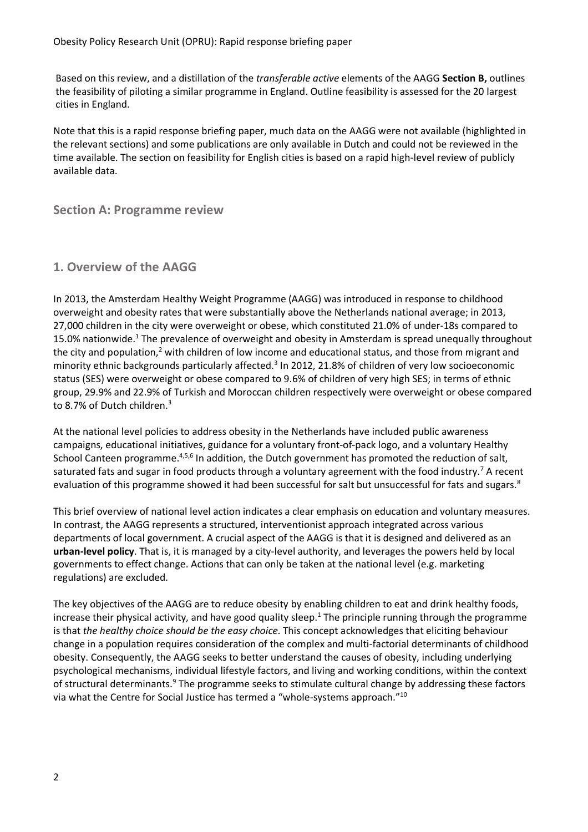Obesity Policy Research Unit (OPRU): Rapid response briefing paper

Based on this review, and a distillation of the *transferable active* elements of the AAGG **Section B,** outlines the feasibility of piloting a similar programme in England. Outline feasibility is assessed for the 20 largest cities in England.

Note that this is a rapid response briefing paper, much data on the AAGG were not available (highlighted in the relevant sections) and some publications are only available in Dutch and could not be reviewed in the time available. The section on feasibility for English cities is based on a rapid high-level review of publicly available data.

**Section A: Programme review**

# **1. Overview of the AAGG**

In 2013, the Amsterdam Healthy Weight Programme (AAGG) was introduced in response to childhood overweight and obesity rates that were substantially above the Netherlands national average; in 2013, 27,000 children in the city were overweight or obese, which constituted 21.0% of under-18s compared to 15.0% nationwide.<sup>1</sup> The prevalence of overweight and obesity in Amsterdam is spread unequally throughout the city and population,<sup>2</sup> with children of low income and educational status, and those from migrant and minority ethnic backgrounds particularly affected.<sup>3</sup> In 2012, 21.8% of children of very low socioeconomic status (SES) were overweight or obese compared to 9.6% of children of very high SES; in terms of ethnic group, 29.9% and 22.9% of Turkish and Moroccan children respectively were overweight or obese compared to 8.7% of Dutch children.<sup>3</sup>

At the national level policies to address obesity in the Netherlands have included public awareness campaigns, educational initiatives, guidance for a voluntary front-of-pack logo, and a voluntary Healthy School Canteen programme.<sup>4,5,6</sup> In addition, the Dutch government has promoted the reduction of salt, saturated fats and sugar in food products through a voluntary agreement with the food industry.<sup>7</sup> A recent evaluation of this programme showed it had been successful for salt but unsuccessful for fats and sugars.<sup>8</sup>

This brief overview of national level action indicates a clear emphasis on education and voluntary measures. In contrast, the AAGG represents a structured, interventionist approach integrated across various departments of local government. A crucial aspect of the AAGG is that it is designed and delivered as an **urban-level policy**. That is, it is managed by a city-level authority, and leverages the powers held by local governments to effect change. Actions that can only be taken at the national level (e.g. marketing regulations) are excluded.

The key objectives of the AAGG are to reduce obesity by enabling children to eat and drink healthy foods, increase their physical activity, and have good quality sleep.<sup>1</sup> The principle running through the programme is that *the healthy choice should be the easy choice*. This concept acknowledges that eliciting behaviour change in a population requires consideration of the complex and multi-factorial determinants of childhood obesity. Consequently, the AAGG seeks to better understand the causes of obesity, including underlying psychological mechanisms, individual lifestyle factors, and living and working conditions, within the context of structural determinants.<sup>9</sup> The programme seeks to stimulate cultural change by addressing these factors via what the Centre for Social Justice has termed a "whole-systems approach."10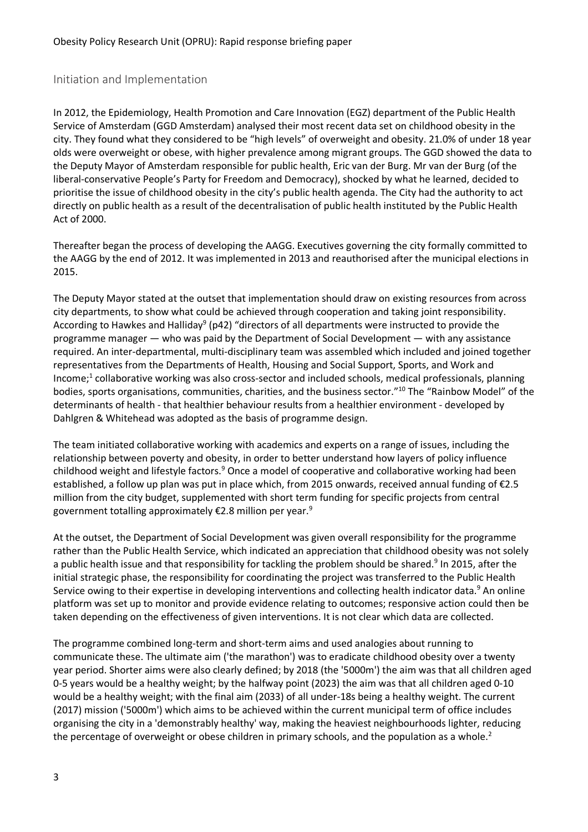## Initiation and Implementation

In 2012, the Epidemiology, Health Promotion and Care Innovation (EGZ) department of the Public Health Service of Amsterdam (GGD Amsterdam) analysed their most recent data set on childhood obesity in the city. They found what they considered to be "high levels" of overweight and obesity. 21.0% of under 18 year olds were overweight or obese, with higher prevalence among migrant groups. The GGD showed the data to the Deputy Mayor of Amsterdam responsible for public health, Eric van der Burg. Mr van der Burg (of the liberal-conservative People's Party for Freedom and Democracy), shocked by what he learned, decided to prioritise the issue of childhood obesity in the city's public health agenda. The City had the authority to act directly on public health as a result of the decentralisation of public health instituted by the Public Health Act of 2000.

Thereafter began the process of developing the AAGG. Executives governing the city formally committed to the AAGG by the end of 2012. It was implemented in 2013 and reauthorised after the municipal elections in 2015.

The Deputy Mayor stated at the outset that implementation should draw on existing resources from across city departments, to show what could be achieved through cooperation and taking joint responsibility. According to Hawkes and Halliday<sup>9</sup> (p42) "directors of all departments were instructed to provide the programme manager — who was paid by the Department of Social Development — with any assistance required. An inter-departmental, multi-disciplinary team was assembled which included and joined together representatives from the Departments of Health, Housing and Social Support, Sports, and Work and Income; <sup>1</sup> collaborative working was also cross-sector and included schools, medical professionals, planning bodies, sports organisations, communities, charities, and the business sector."10 The "Rainbow Model" of the determinants of health - that healthier behaviour results from a healthier environment - developed by Dahlgren & Whitehead was adopted as the basis of programme design.

The team initiated collaborative working with academics and experts on a range of issues, including the relationship between poverty and obesity, in order to better understand how layers of policy influence childhood weight and lifestyle factors.<sup>9</sup> Once a model of cooperative and collaborative working had been established, a follow up plan was put in place which, from 2015 onwards, received annual funding of €2.5 million from the city budget, supplemented with short term funding for specific projects from central government totalling approximately  $E$ 2.8 million per year.<sup>9</sup>

At the outset, the Department of Social Development was given overall responsibility for the programme rather than the Public Health Service, which indicated an appreciation that childhood obesity was not solely a public health issue and that responsibility for tackling the problem should be shared.<sup>9</sup> In 2015, after the initial strategic phase, the responsibility for coordinating the project was transferred to the Public Health Service owing to their expertise in developing interventions and collecting health indicator data.<sup>9</sup> An online platform was set up to monitor and provide evidence relating to outcomes; responsive action could then be taken depending on the effectiveness of given interventions. It is not clear which data are collected.

The programme combined long-term and short-term aims and used analogies about running to communicate these. The ultimate aim ('the marathon') was to eradicate childhood obesity over a twenty year period. Shorter aims were also clearly defined; by 2018 (the '5000m') the aim was that all children aged 0-5 years would be a healthy weight; by the halfway point (2023) the aim was that all children aged 0-10 would be a healthy weight; with the final aim (2033) of all under-18s being a healthy weight. The current (2017) mission ('5000m') which aims to be achieved within the current municipal term of office includes organising the city in a 'demonstrably healthy' way, making the heaviest neighbourhoods lighter, reducing the percentage of overweight or obese children in primary schools, and the population as a whole.<sup>2</sup>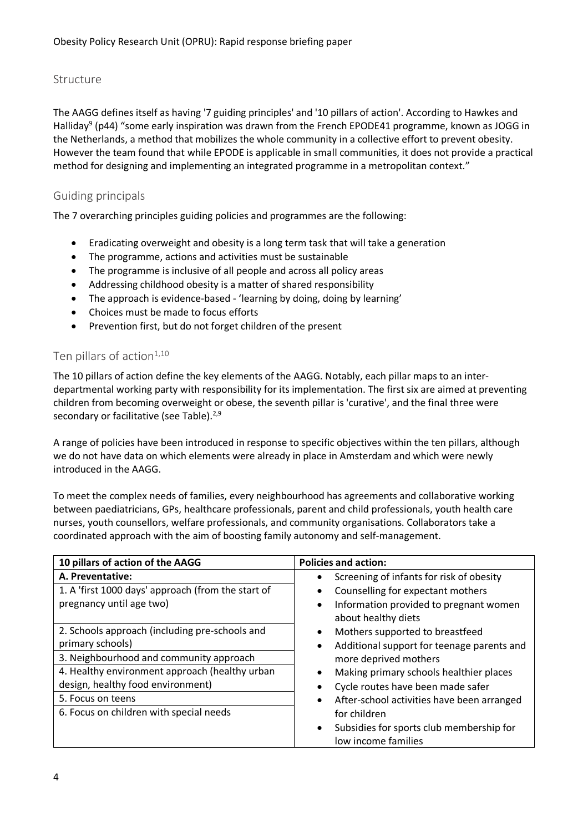#### Structure

The AAGG defines itself as having '7 guiding principles' and '10 pillars of action'. According to Hawkes and Halliday<sup>9</sup> (p44) "some early inspiration was drawn from the French EPODE41 programme, known as JOGG in the Netherlands, a method that mobilizes the whole community in a collective effort to prevent obesity. However the team found that while EPODE is applicable in small communities, it does not provide a practical method for designing and implementing an integrated programme in a metropolitan context."

## Guiding principals

The 7 overarching principles guiding policies and programmes are the following:

- Eradicating overweight and obesity is a long term task that will take a generation
- The programme, actions and activities must be sustainable
- The programme is inclusive of all people and across all policy areas
- Addressing childhood obesity is a matter of shared responsibility
- The approach is evidence-based 'learning by doing, doing by learning'
- Choices must be made to focus efforts
- Prevention first, but do not forget children of the present

#### Ten pillars of action $1,10$

The 10 pillars of action define the key elements of the AAGG. Notably, each pillar maps to an interdepartmental working party with responsibility for its implementation. The first six are aimed at preventing children from becoming overweight or obese, the seventh pillar is 'curative', and the final three were secondary or facilitative (see Table).<sup>2,9</sup>

A range of policies have been introduced in response to specific objectives within the ten pillars, although we do not have data on which elements were already in place in Amsterdam and which were newly introduced in the AAGG.

To meet the complex needs of families, every neighbourhood has agreements and collaborative working between paediatricians, GPs, healthcare professionals, parent and child professionals, youth health care nurses, youth counsellors, welfare professionals, and community organisations. Collaborators take a coordinated approach with the aim of boosting family autonomy and self-management.

| 10 pillars of action of the AAGG                   | <b>Policies and action:</b>                             |
|----------------------------------------------------|---------------------------------------------------------|
| A. Preventative:                                   | Screening of infants for risk of obesity<br>٠           |
| 1. A 'first 1000 days' approach (from the start of | Counselling for expectant mothers<br>٠                  |
| pregnancy until age two)                           | Information provided to pregnant women<br>٠             |
|                                                    | about healthy diets                                     |
| 2. Schools approach (including pre-schools and     | Mothers supported to breastfeed<br>$\bullet$            |
| primary schools)                                   | Additional support for teenage parents and<br>$\bullet$ |
| 3. Neighbourhood and community approach            | more deprived mothers                                   |
| 4. Healthy environment approach (healthy urban     | Making primary schools healthier places<br>٠            |
| design, healthy food environment)                  | Cycle routes have been made safer                       |
| 5. Focus on teens                                  | After-school activities have been arranged<br>$\bullet$ |
| 6. Focus on children with special needs            | for children                                            |
|                                                    | Subsidies for sports club membership for<br>$\bullet$   |
|                                                    | low income families                                     |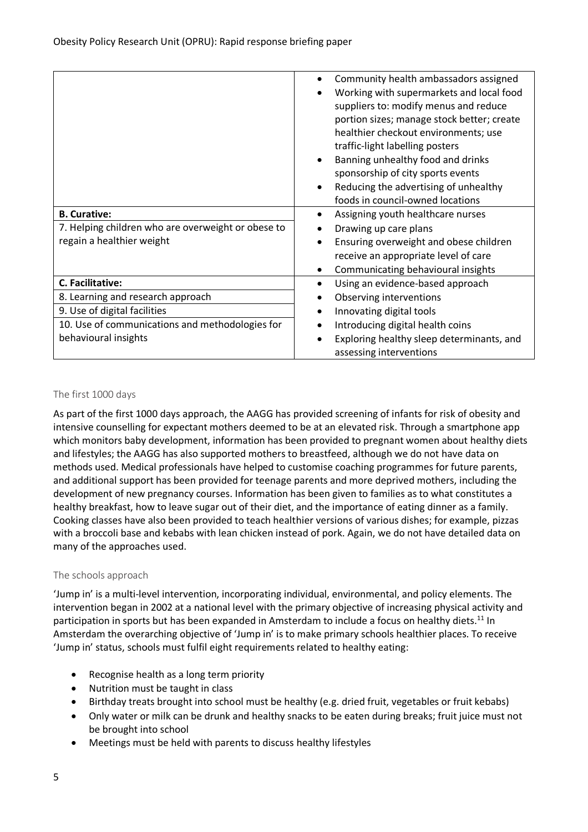|                                                    | Community health ambassadors assigned      |
|----------------------------------------------------|--------------------------------------------|
|                                                    | Working with supermarkets and local food   |
|                                                    | suppliers to: modify menus and reduce      |
|                                                    | portion sizes; manage stock better; create |
|                                                    | healthier checkout environments; use       |
|                                                    | traffic-light labelling posters            |
|                                                    | Banning unhealthy food and drinks          |
|                                                    | sponsorship of city sports events          |
|                                                    | Reducing the advertising of unhealthy<br>٠ |
|                                                    | foods in council-owned locations           |
| <b>B. Curative:</b>                                | Assigning youth healthcare nurses          |
| 7. Helping children who are overweight or obese to | Drawing up care plans                      |
| regain a healthier weight                          | Ensuring overweight and obese children     |
|                                                    | receive an appropriate level of care       |
|                                                    | Communicating behavioural insights         |
| C. Facilitative:                                   | Using an evidence-based approach           |
| 8. Learning and research approach                  | Observing interventions                    |
| 9. Use of digital facilities                       | Innovating digital tools                   |
| 10. Use of communications and methodologies for    | Introducing digital health coins           |
| behavioural insights                               | Exploring healthy sleep determinants, and  |
|                                                    | assessing interventions                    |

#### The first 1000 days

As part of the first 1000 days approach, the AAGG has provided screening of infants for risk of obesity and intensive counselling for expectant mothers deemed to be at an elevated risk. Through a smartphone app which monitors baby development, information has been provided to pregnant women about healthy diets and lifestyles; the AAGG has also supported mothers to breastfeed, although we do not have data on methods used. Medical professionals have helped to customise coaching programmes for future parents, and additional support has been provided for teenage parents and more deprived mothers, including the development of new pregnancy courses. Information has been given to families as to what constitutes a healthy breakfast, how to leave sugar out of their diet, and the importance of eating dinner as a family. Cooking classes have also been provided to teach healthier versions of various dishes; for example, pizzas with a broccoli base and kebabs with lean chicken instead of pork. Again, we do not have detailed data on many of the approaches used.

#### The schools approach

'Jump in' is a multi-level intervention, incorporating individual, environmental, and policy elements. The intervention began in 2002 at a national level with the primary objective of increasing physical activity and participation in sports but has been expanded in Amsterdam to include a focus on healthy diets.<sup>11</sup> In Amsterdam the overarching objective of 'Jump in' is to make primary schools healthier places. To receive 'Jump in' status, schools must fulfil eight requirements related to healthy eating:

- Recognise health as a long term priority
- Nutrition must be taught in class
- Birthday treats brought into school must be healthy (e.g. dried fruit, vegetables or fruit kebabs)
- Only water or milk can be drunk and healthy snacks to be eaten during breaks; fruit juice must not be brought into school
- Meetings must be held with parents to discuss healthy lifestyles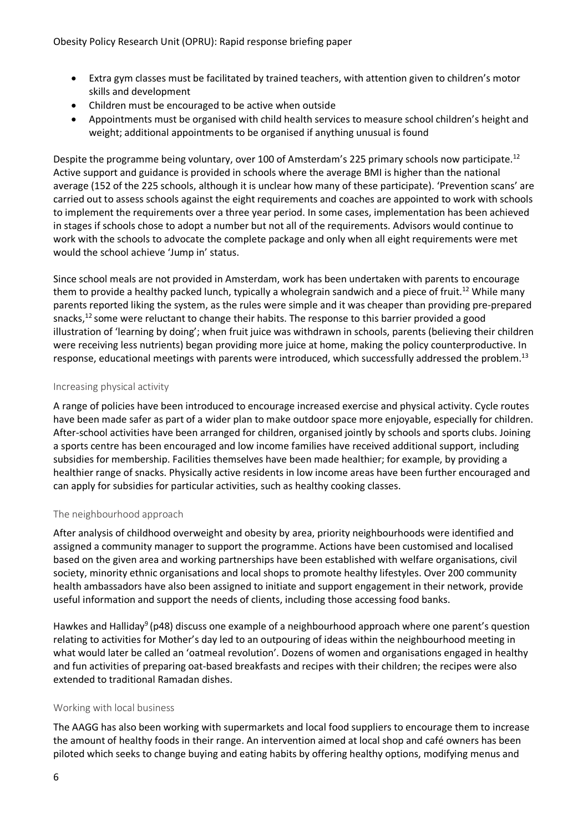- Extra gym classes must be facilitated by trained teachers, with attention given to children's motor skills and development
- Children must be encouraged to be active when outside
- Appointments must be organised with child health services to measure school children's height and weight; additional appointments to be organised if anything unusual is found

Despite the programme being voluntary, over 100 of Amsterdam's 225 primary schools now participate.<sup>12</sup> Active support and guidance is provided in schools where the average BMI is higher than the national average (152 of the 225 schools, although it is unclear how many of these participate). 'Prevention scans' are carried out to assess schools against the eight requirements and coaches are appointed to work with schools to implement the requirements over a three year period. In some cases, implementation has been achieved in stages if schools chose to adopt a number but not all of the requirements. Advisors would continue to work with the schools to advocate the complete package and only when all eight requirements were met would the school achieve 'Jump in' status.

Since school meals are not provided in Amsterdam, work has been undertaken with parents to encourage them to provide a healthy packed lunch, typically a wholegrain sandwich and a piece of fruit.<sup>12</sup> While many parents reported liking the system, as the rules were simple and it was cheaper than providing pre-prepared snacks,<sup>12</sup> some were reluctant to change their habits. The response to this barrier provided a good illustration of 'learning by doing'; when fruit juice was withdrawn in schools, parents (believing their children were receiving less nutrients) began providing more juice at home, making the policy counterproductive. In response, educational meetings with parents were introduced, which successfully addressed the problem.<sup>13</sup>

#### Increasing physical activity

A range of policies have been introduced to encourage increased exercise and physical activity. Cycle routes have been made safer as part of a wider plan to make outdoor space more enjoyable, especially for children. After-school activities have been arranged for children, organised jointly by schools and sports clubs. Joining a sports centre has been encouraged and low income families have received additional support, including subsidies for membership. Facilities themselves have been made healthier; for example, by providing a healthier range of snacks. Physically active residents in low income areas have been further encouraged and can apply for subsidies for particular activities, such as healthy cooking classes.

#### The neighbourhood approach

After analysis of childhood overweight and obesity by area, priority neighbourhoods were identified and assigned a community manager to support the programme. Actions have been customised and localised based on the given area and working partnerships have been established with welfare organisations, civil society, minority ethnic organisations and local shops to promote healthy lifestyles. Over 200 community health ambassadors have also been assigned to initiate and support engagement in their network, provide useful information and support the needs of clients, including those accessing food banks.

Hawkes and Halliday<sup>9</sup> (p48) discuss one example of a neighbourhood approach where one parent's question relating to activities for Mother's day led to an outpouring of ideas within the neighbourhood meeting in what would later be called an 'oatmeal revolution'. Dozens of women and organisations engaged in healthy and fun activities of preparing oat-based breakfasts and recipes with their children; the recipes were also extended to traditional Ramadan dishes.

#### Working with local business

The AAGG has also been working with supermarkets and local food suppliers to encourage them to increase the amount of healthy foods in their range. An intervention aimed at local shop and café owners has been piloted which seeks to change buying and eating habits by offering healthy options, modifying menus and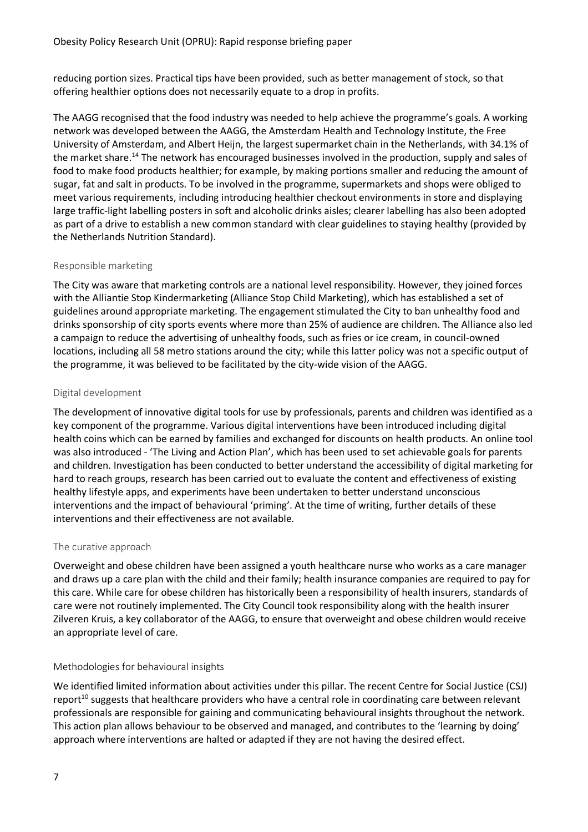reducing portion sizes. Practical tips have been provided, such as better management of stock, so that offering healthier options does not necessarily equate to a drop in profits.

The AAGG recognised that the food industry was needed to help achieve the programme's goals. A working network was developed between the AAGG, the Amsterdam Health and Technology Institute, the Free University of Amsterdam, and Albert Heijn, the largest supermarket chain in the Netherlands, with 34.1% of the market share.<sup>14</sup> The network has encouraged businesses involved in the production, supply and sales of food to make food products healthier; for example, by making portions smaller and reducing the amount of sugar, fat and salt in products. To be involved in the programme, supermarkets and shops were obliged to meet various requirements, including introducing healthier checkout environments in store and displaying large traffic-light labelling posters in soft and alcoholic drinks aisles; clearer labelling has also been adopted as part of a drive to establish a new common standard with clear guidelines to staying healthy (provided by the Netherlands Nutrition Standard).

#### Responsible marketing

The City was aware that marketing controls are a national level responsibility. However, they joined forces with the Alliantie Stop Kindermarketing (Alliance Stop Child Marketing), which has established a set of guidelines around appropriate marketing. The engagement stimulated the City to ban unhealthy food and drinks sponsorship of city sports events where more than 25% of audience are children. The Alliance also led a campaign to reduce the advertising of unhealthy foods, such as fries or ice cream, in council-owned locations, including all 58 metro stations around the city; while this latter policy was not a specific output of the programme, it was believed to be facilitated by the city-wide vision of the AAGG.

#### Digital development

The development of innovative digital tools for use by professionals, parents and children was identified as a key component of the programme. Various digital interventions have been introduced including digital health coins which can be earned by families and exchanged for discounts on health products. An online tool was also introduced - 'The Living and Action Plan', which has been used to set achievable goals for parents and children. Investigation has been conducted to better understand the accessibility of digital marketing for hard to reach groups, research has been carried out to evaluate the content and effectiveness of existing healthy lifestyle apps, and experiments have been undertaken to better understand unconscious interventions and the impact of behavioural 'priming'. At the time of writing, further details of these interventions and their effectiveness are not available.

#### The curative approach

Overweight and obese children have been assigned a youth healthcare nurse who works as a care manager and draws up a care plan with the child and their family; health insurance companies are required to pay for this care. While care for obese children has historically been a responsibility of health insurers, standards of care were not routinely implemented. The City Council took responsibility along with the health insurer Zilveren Kruis, a key collaborator of the AAGG, to ensure that overweight and obese children would receive an appropriate level of care.

#### Methodologies for behavioural insights

We identified limited information about activities under this pillar. The recent Centre for Social Justice (CSJ) report<sup>10</sup> suggests that healthcare providers who have a central role in coordinating care between relevant professionals are responsible for gaining and communicating behavioural insights throughout the network. This action plan allows behaviour to be observed and managed, and contributes to the 'learning by doing' approach where interventions are halted or adapted if they are not having the desired effect.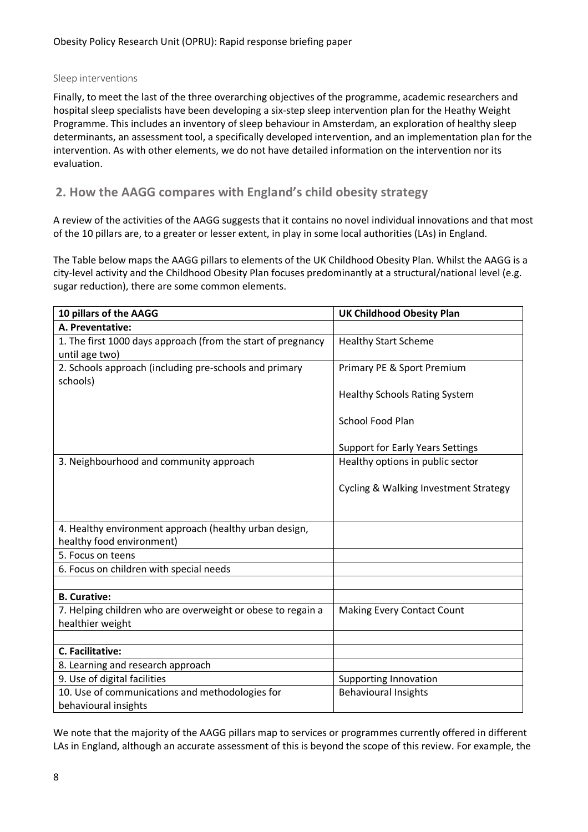#### Sleep interventions

Finally, to meet the last of the three overarching objectives of the programme, academic researchers and hospital sleep specialists have been developing a six-step sleep intervention plan for the Heathy Weight Programme. This includes an inventory of sleep behaviour in Amsterdam, an exploration of healthy sleep determinants, an assessment tool, a specifically developed intervention, and an implementation plan for the intervention. As with other elements, we do not have detailed information on the intervention nor its evaluation.

# **2. How the AAGG compares with England's child obesity strategy**

A review of the activities of the AAGG suggests that it contains no novel individual innovations and that most of the 10 pillars are, to a greater or lesser extent, in play in some local authorities (LAs) in England.

The Table below maps the AAGG pillars to elements of the UK Childhood Obesity Plan. Whilst the AAGG is a city-level activity and the Childhood Obesity Plan focuses predominantly at a structural/national level (e.g. sugar reduction), there are some common elements.

| 10 pillars of the AAGG                                       | <b>UK Childhood Obesity Plan</b>                 |
|--------------------------------------------------------------|--------------------------------------------------|
| A. Preventative:                                             |                                                  |
| 1. The first 1000 days approach (from the start of pregnancy | <b>Healthy Start Scheme</b>                      |
| until age two)                                               |                                                  |
| 2. Schools approach (including pre-schools and primary       | Primary PE & Sport Premium                       |
| schools)                                                     |                                                  |
|                                                              | <b>Healthy Schools Rating System</b>             |
|                                                              | School Food Plan                                 |
|                                                              | <b>Support for Early Years Settings</b>          |
| 3. Neighbourhood and community approach                      | Healthy options in public sector                 |
|                                                              |                                                  |
|                                                              | <b>Cycling &amp; Walking Investment Strategy</b> |
|                                                              |                                                  |
|                                                              |                                                  |
| 4. Healthy environment approach (healthy urban design,       |                                                  |
| healthy food environment)                                    |                                                  |
| 5. Focus on teens                                            |                                                  |
| 6. Focus on children with special needs                      |                                                  |
|                                                              |                                                  |
| <b>B. Curative:</b>                                          |                                                  |
| 7. Helping children who are overweight or obese to regain a  | <b>Making Every Contact Count</b>                |
| healthier weight                                             |                                                  |
|                                                              |                                                  |
| C. Facilitative:                                             |                                                  |
| 8. Learning and research approach                            |                                                  |
| 9. Use of digital facilities                                 | <b>Supporting Innovation</b>                     |
| 10. Use of communications and methodologies for              | <b>Behavioural Insights</b>                      |
| behavioural insights                                         |                                                  |

We note that the majority of the AAGG pillars map to services or programmes currently offered in different LAs in England, although an accurate assessment of this is beyond the scope of this review. For example, the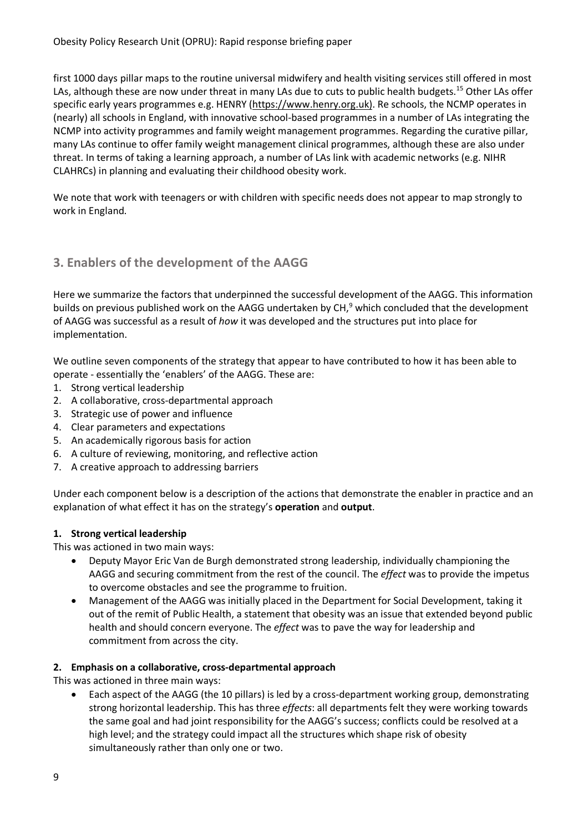first 1000 days pillar maps to the routine universal midwifery and health visiting services still offered in most LAs, although these are now under threat in many LAs due to cuts to public health budgets.<sup>15</sup> Other LAs offer specific early years programmes e.g. HENRY (https://www.henry.org.uk). Re schools, the NCMP operates in (nearly) all schools in England, with innovative school-based programmes in a number of LAs integrating the NCMP into activity programmes and family weight management programmes. Regarding the curative pillar, many LAs continue to offer family weight management clinical programmes, although these are also under threat. In terms of taking a learning approach, a number of LAs link with academic networks (e.g. NIHR CLAHRCs) in planning and evaluating their childhood obesity work.

We note that work with teenagers or with children with specific needs does not appear to map strongly to work in England.

# **3. Enablers of the development of the AAGG**

Here we summarize the factors that underpinned the successful development of the AAGG. This information builds on previous published work on the AAGG undertaken by CH,<sup>9</sup> which concluded that the development of AAGG was successful as a result of *how* it was developed and the structures put into place for implementation.

We outline seven components of the strategy that appear to have contributed to how it has been able to operate - essentially the 'enablers' of the AAGG. These are:

- 1. Strong vertical leadership
- 2. A collaborative, cross-departmental approach
- 3. Strategic use of power and influence
- 4. Clear parameters and expectations
- 5. An academically rigorous basis for action
- 6. A culture of reviewing, monitoring, and reflective action
- 7. A creative approach to addressing barriers

Under each component below is a description of the actions that demonstrate the enabler in practice and an explanation of what effect it has on the strategy's **operation** and **output**.

# **1. Strong vertical leadership**

This was actioned in two main ways:

- Deputy Mayor Eric Van de Burgh demonstrated strong leadership, individually championing the AAGG and securing commitment from the rest of the council. The *effect* was to provide the impetus to overcome obstacles and see the programme to fruition.
- Management of the AAGG was initially placed in the Department for Social Development, taking it out of the remit of Public Health, a statement that obesity was an issue that extended beyond public health and should concern everyone. The *effect* was to pave the way for leadership and commitment from across the city.

#### **2. Emphasis on a collaborative, cross-departmental approach**

This was actioned in three main ways:

• Each aspect of the AAGG (the 10 pillars) is led by a cross-department working group, demonstrating strong horizontal leadership. This has three *effects*: all departments felt they were working towards the same goal and had joint responsibility for the AAGG's success; conflicts could be resolved at a high level; and the strategy could impact all the structures which shape risk of obesity simultaneously rather than only one or two.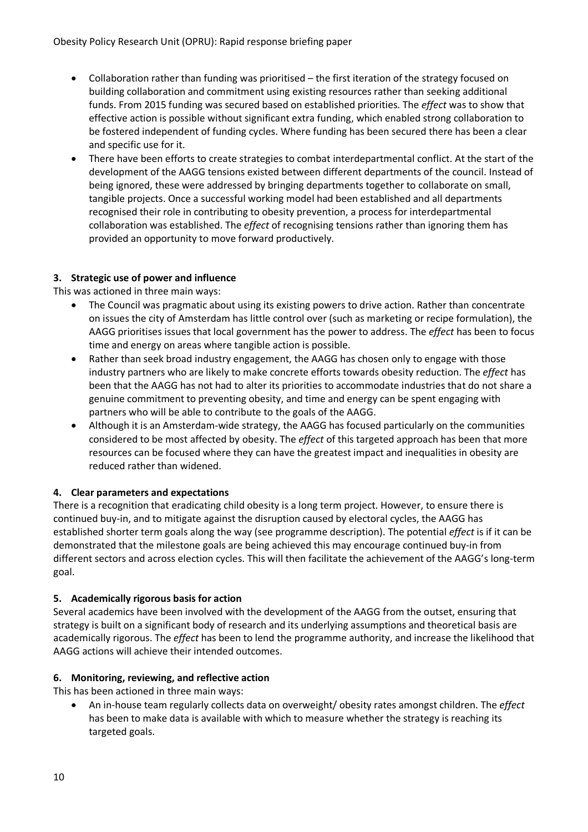- Collaboration rather than funding was prioritised the first iteration of the strategy focused on building collaboration and commitment using existing resources rather than seeking additional funds. From 2015 funding was secured based on established priorities. The *effect* was to show that effective action is possible without significant extra funding, which enabled strong collaboration to be fostered independent of funding cycles. Where funding has been secured there has been a clear and specific use for it.
- There have been efforts to create strategies to combat interdepartmental conflict. At the start of the development of the AAGG tensions existed between different departments of the council. Instead of being ignored, these were addressed by bringing departments together to collaborate on small, tangible projects. Once a successful working model had been established and all departments recognised their role in contributing to obesity prevention, a process for interdepartmental collaboration was established. The *effect* of recognising tensions rather than ignoring them has provided an opportunity to move forward productively.

#### **3. Strategic use of power and influence**

This was actioned in three main ways:

- The Council was pragmatic about using its existing powers to drive action. Rather than concentrate on issues the city of Amsterdam has little control over (such as marketing or recipe formulation), the AAGG prioritises issues that local government has the power to address. The *effect* has been to focus time and energy on areas where tangible action is possible.
- Rather than seek broad industry engagement, the AAGG has chosen only to engage with those industry partners who are likely to make concrete efforts towards obesity reduction. The *effect* has been that the AAGG has not had to alter its priorities to accommodate industries that do not share a genuine commitment to preventing obesity, and time and energy can be spent engaging with partners who will be able to contribute to the goals of the AAGG.
- Although it is an Amsterdam-wide strategy, the AAGG has focused particularly on the communities considered to be most affected by obesity. The *effect* of this targeted approach has been that more resources can be focused where they can have the greatest impact and inequalities in obesity are reduced rather than widened.

#### **4. Clear parameters and expectations**

There is a recognition that eradicating child obesity is a long term project. However, to ensure there is continued buy-in, and to mitigate against the disruption caused by electoral cycles, the AAGG has established shorter term goals along the way (see programme description). The potential *effect* is if it can be demonstrated that the milestone goals are being achieved this may encourage continued buy-in from different sectors and across election cycles. This will then facilitate the achievement of the AAGG's long-term goal.

#### **5. Academically rigorous basis for action**

Several academics have been involved with the development of the AAGG from the outset, ensuring that strategy is built on a significant body of research and its underlying assumptions and theoretical basis are academically rigorous. The *effect* has been to lend the programme authority, and increase the likelihood that AAGG actions will achieve their intended outcomes.

#### **6. Monitoring, reviewing, and reflective action**

This has been actioned in three main ways:

• An in-house team regularly collects data on overweight/ obesity rates amongst children. The *effect* has been to make data is available with which to measure whether the strategy is reaching its targeted goals.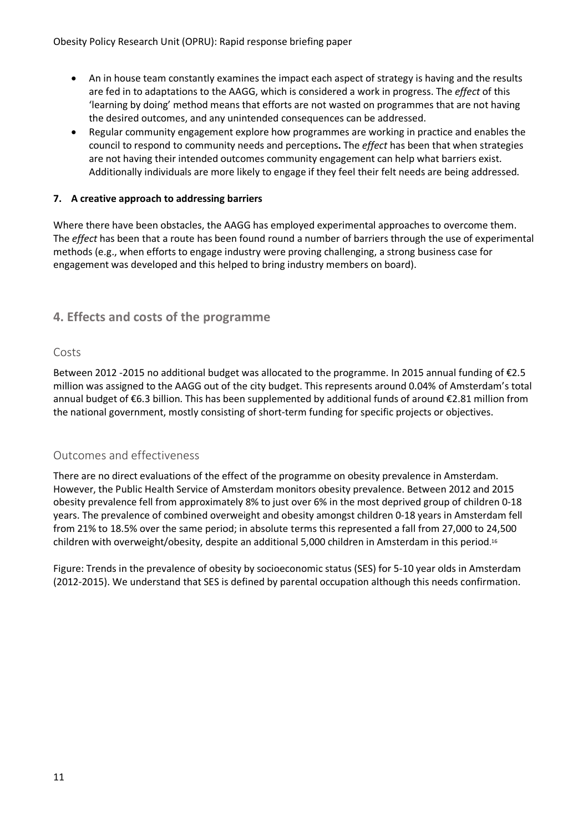- An in house team constantly examines the impact each aspect of strategy is having and the results are fed in to adaptations to the AAGG, which is considered a work in progress. The *effect* of this 'learning by doing' method means that efforts are not wasted on programmes that are not having the desired outcomes, and any unintended consequences can be addressed.
- Regular community engagement explore how programmes are working in practice and enables the council to respond to community needs and perceptions**.** The *effect* has been that when strategies are not having their intended outcomes community engagement can help what barriers exist. Additionally individuals are more likely to engage if they feel their felt needs are being addressed.

#### **7. A creative approach to addressing barriers**

Where there have been obstacles, the AAGG has employed experimental approaches to overcome them. The *effect* has been that a route has been found round a number of barriers through the use of experimental methods (e.g., when efforts to engage industry were proving challenging, a strong business case for engagement was developed and this helped to bring industry members on board).

# **4. Effects and costs of the programme**

# Costs

Between 2012 -2015 no additional budget was allocated to the programme. In 2015 annual funding of €2.5 million was assigned to the AAGG out of the city budget. This represents around 0.04% of Amsterdam's total annual budget of €6.3 billion. This has been supplemented by additional funds of around €2.81 million from the national government, mostly consisting of short-term funding for specific projects or objectives.

# Outcomes and effectiveness

There are no direct evaluations of the effect of the programme on obesity prevalence in Amsterdam. However, the Public Health Service of Amsterdam monitors obesity prevalence. Between 2012 and 2015 obesity prevalence fell from approximately 8% to just over 6% in the most deprived group of children 0-18 years. The prevalence of combined overweight and obesity amongst children 0-18 years in Amsterdam fell from 21% to 18.5% over the same period; in absolute terms this represented a fall from 27,000 to 24,500 children with overweight/obesity, despite an additional 5,000 children in Amsterdam in this period. 16

Figure: Trends in the prevalence of obesity by socioeconomic status (SES) for 5-10 year olds in Amsterdam (2012-2015). We understand that SES is defined by parental occupation although this needs confirmation.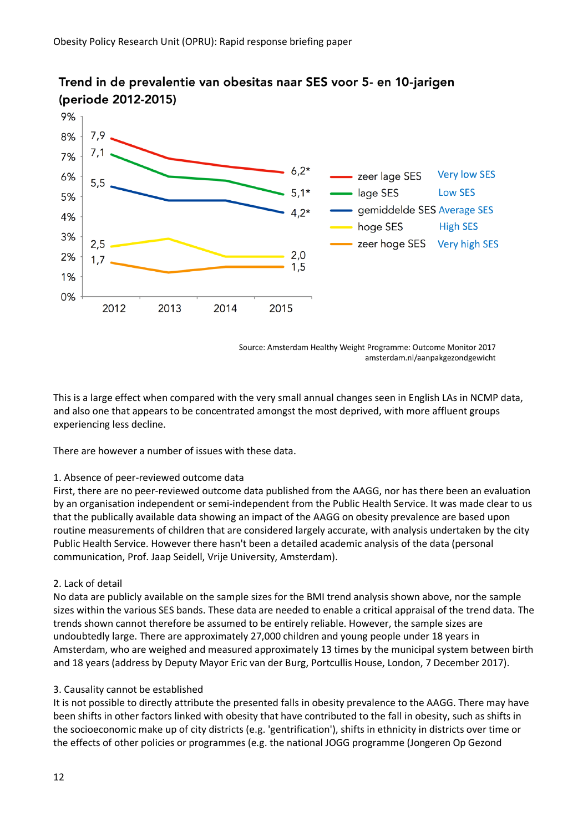

# Trend in de prevalentie van obesitas naar SES voor 5- en 10-jarigen (periode 2012-2015)

Source: Amsterdam Healthy Weight Programme: Outcome Monitor 2017 amsterdam.nl/aanpakgezondgewicht

This is a large effect when compared with the very small annual changes seen in English LAs in NCMP data, and also one that appears to be concentrated amongst the most deprived, with more affluent groups experiencing less decline.

There are however a number of issues with these data.

#### 1. Absence of peer-reviewed outcome data

First, there are no peer-reviewed outcome data published from the AAGG, nor has there been an evaluation by an organisation independent or semi-independent from the Public Health Service. It was made clear to us that the publically available data showing an impact of the AAGG on obesity prevalence are based upon routine measurements of children that are considered largely accurate, with analysis undertaken by the city Public Health Service. However there hasn't been a detailed academic analysis of the data (personal communication, Prof. Jaap Seidell, Vrije University, Amsterdam).

#### 2. Lack of detail

No data are publicly available on the sample sizes for the BMI trend analysis shown above, nor the sample sizes within the various SES bands. These data are needed to enable a critical appraisal of the trend data. The trends shown cannot therefore be assumed to be entirely reliable. However, the sample sizes are undoubtedly large. There are approximately 27,000 children and young people under 18 years in Amsterdam, who are weighed and measured approximately 13 times by the municipal system between birth and 18 years (address by Deputy Mayor Eric van der Burg, Portcullis House, London, 7 December 2017).

#### 3. Causality cannot be established

It is not possible to directly attribute the presented falls in obesity prevalence to the AAGG. There may have been shifts in other factors linked with obesity that have contributed to the fall in obesity, such as shifts in the socioeconomic make up of city districts (e.g. 'gentrification'), shifts in ethnicity in districts over time or the effects of other policies or programmes (e.g. the national JOGG programme (Jongeren Op Gezond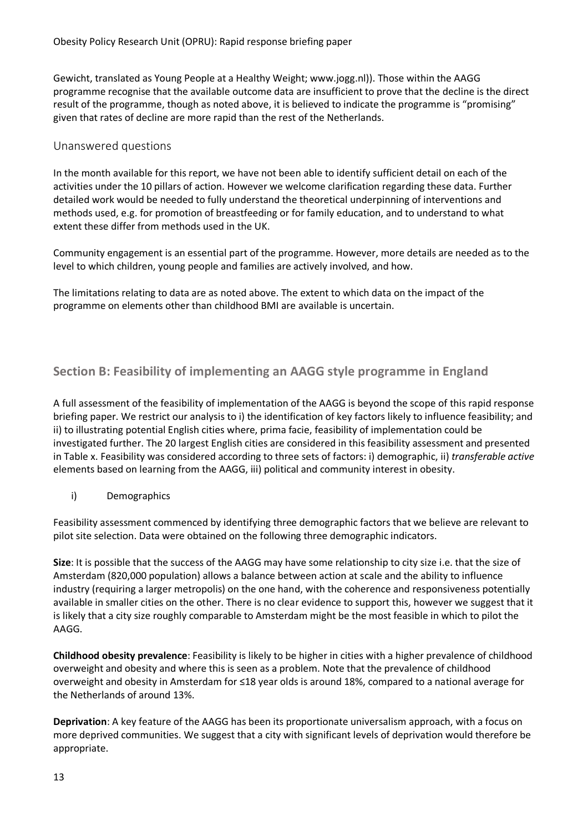Gewicht, translated as Young People at a Healthy Weight; www.jogg.nl)). Those within the AAGG programme recognise that the available outcome data are insufficient to prove that the decline is the direct result of the programme, though as noted above, it is believed to indicate the programme is "promising" given that rates of decline are more rapid than the rest of the Netherlands.

#### Unanswered questions

In the month available for this report, we have not been able to identify sufficient detail on each of the activities under the 10 pillars of action. However we welcome clarification regarding these data. Further detailed work would be needed to fully understand the theoretical underpinning of interventions and methods used, e.g. for promotion of breastfeeding or for family education, and to understand to what extent these differ from methods used in the UK.

Community engagement is an essential part of the programme. However, more details are needed as to the level to which children, young people and families are actively involved, and how.

The limitations relating to data are as noted above. The extent to which data on the impact of the programme on elements other than childhood BMI are available is uncertain.

# **Section B: Feasibility of implementing an AAGG style programme in England**

A full assessment of the feasibility of implementation of the AAGG is beyond the scope of this rapid response briefing paper. We restrict our analysis to i) the identification of key factors likely to influence feasibility; and ii) to illustrating potential English cities where, prima facie, feasibility of implementation could be investigated further. The 20 largest English cities are considered in this feasibility assessment and presented in Table x. Feasibility was considered according to three sets of factors: i) demographic, ii) *transferable active* elements based on learning from the AAGG, iii) political and community interest in obesity.

i) Demographics

Feasibility assessment commenced by identifying three demographic factors that we believe are relevant to pilot site selection. Data were obtained on the following three demographic indicators.

**Size**: It is possible that the success of the AAGG may have some relationship to city size i.e. that the size of Amsterdam (820,000 population) allows a balance between action at scale and the ability to influence industry (requiring a larger metropolis) on the one hand, with the coherence and responsiveness potentially available in smaller cities on the other. There is no clear evidence to support this, however we suggest that it is likely that a city size roughly comparable to Amsterdam might be the most feasible in which to pilot the AAGG.

**Childhood obesity prevalence**: Feasibility is likely to be higher in cities with a higher prevalence of childhood overweight and obesity and where this is seen as a problem. Note that the prevalence of childhood overweight and obesity in Amsterdam for ≤18 year olds is around 18%, compared to a national average for the Netherlands of around 13%.

**Deprivation**: A key feature of the AAGG has been its proportionate universalism approach, with a focus on more deprived communities. We suggest that a city with significant levels of deprivation would therefore be appropriate.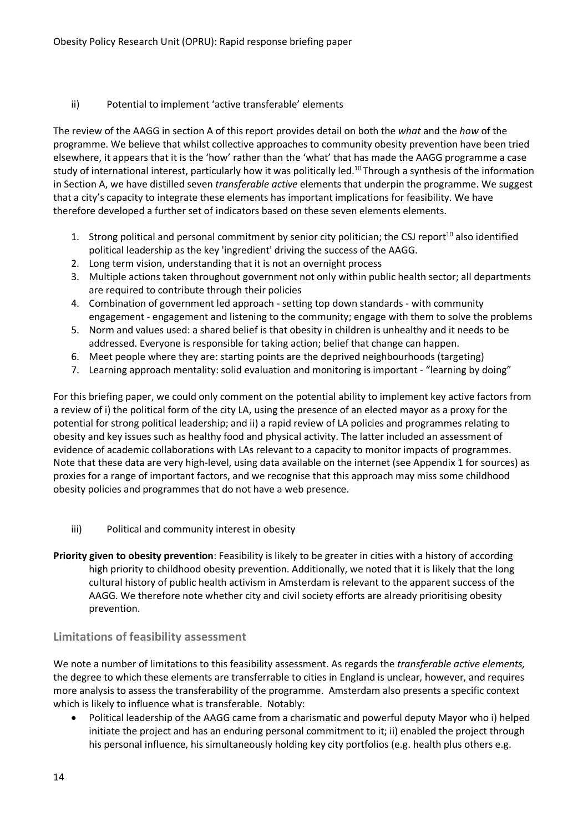#### ii) Potential to implement 'active transferable' elements

The review of the AAGG in section A of this report provides detail on both the *what* and the *how* of the programme. We believe that whilst collective approaches to community obesity prevention have been tried elsewhere, it appears that it is the 'how' rather than the 'what' that has made the AAGG programme a case study of international interest, particularly how it was politically led.<sup>10</sup> Through a synthesis of the information in Section A, we have distilled seven *transferable active* elements that underpin the programme. We suggest that a city's capacity to integrate these elements has important implications for feasibility. We have therefore developed a further set of indicators based on these seven elements elements.

- 1. Strong political and personal commitment by senior city politician; the CSJ report<sup>10</sup> also identified political leadership as the key 'ingredient' driving the success of the AAGG.
- 2. Long term vision, understanding that it is not an overnight process
- 3. Multiple actions taken throughout government not only within public health sector; all departments are required to contribute through their policies
- 4. Combination of government led approach setting top down standards with community engagement - engagement and listening to the community; engage with them to solve the problems
- 5. Norm and values used: a shared belief is that obesity in children is unhealthy and it needs to be addressed. Everyone is responsible for taking action; belief that change can happen.
- 6. Meet people where they are: starting points are the deprived neighbourhoods (targeting)
- 7. Learning approach mentality: solid evaluation and monitoring is important "learning by doing"

For this briefing paper, we could only comment on the potential ability to implement key active factors from a review of i) the political form of the city LA, using the presence of an elected mayor as a proxy for the potential for strong political leadership; and ii) a rapid review of LA policies and programmes relating to obesity and key issues such as healthy food and physical activity. The latter included an assessment of evidence of academic collaborations with LAs relevant to a capacity to monitor impacts of programmes. Note that these data are very high-level, using data available on the internet (see Appendix 1 for sources) as proxies for a range of important factors, and we recognise that this approach may miss some childhood obesity policies and programmes that do not have a web presence.

- iii) Political and community interest in obesity
- **Priority given to obesity prevention**: Feasibility is likely to be greater in cities with a history of according high priority to childhood obesity prevention. Additionally, we noted that it is likely that the long cultural history of public health activism in Amsterdam is relevant to the apparent success of the AAGG. We therefore note whether city and civil society efforts are already prioritising obesity prevention.

# **Limitations of feasibility assessment**

We note a number of limitations to this feasibility assessment. As regards the *transferable active elements,*  the degree to which these elements are transferrable to cities in England is unclear, however, and requires more analysis to assess the transferability of the programme. Amsterdam also presents a specific context which is likely to influence what is transferable. Notably:

• Political leadership of the AAGG came from a charismatic and powerful deputy Mayor who i) helped initiate the project and has an enduring personal commitment to it; ii) enabled the project through his personal influence, his simultaneously holding key city portfolios (e.g. health plus others e.g.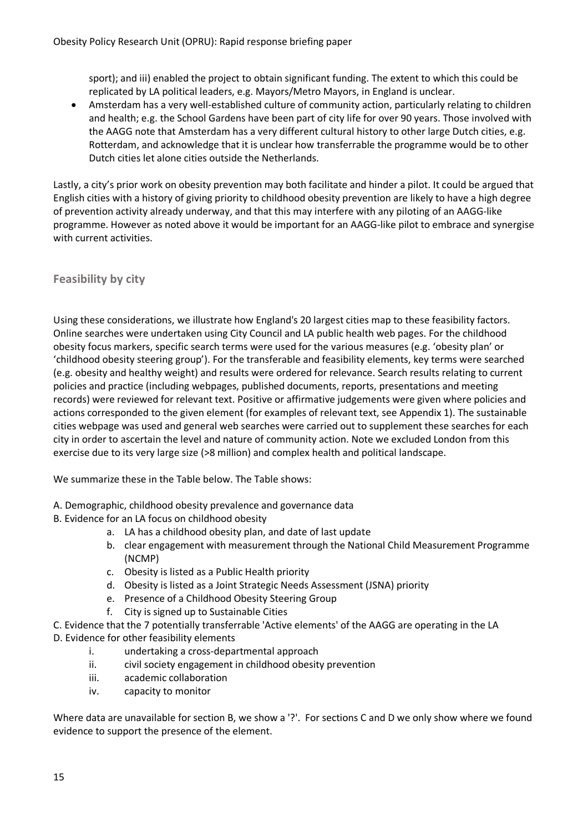sport); and iii) enabled the project to obtain significant funding. The extent to which this could be replicated by LA political leaders, e.g. Mayors/Metro Mayors, in England is unclear.

• Amsterdam has a very well-established culture of community action, particularly relating to children and health; e.g. the School Gardens have been part of city life for over 90 years. Those involved with the AAGG note that Amsterdam has a very different cultural history to other large Dutch cities, e.g. Rotterdam, and acknowledge that it is unclear how transferrable the programme would be to other Dutch cities let alone cities outside the Netherlands.

Lastly, a city's prior work on obesity prevention may both facilitate and hinder a pilot. It could be argued that English cities with a history of giving priority to childhood obesity prevention are likely to have a high degree of prevention activity already underway, and that this may interfere with any piloting of an AAGG-like programme. However as noted above it would be important for an AAGG-like pilot to embrace and synergise with current activities.

# **Feasibility by city**

Using these considerations, we illustrate how England's 20 largest cities map to these feasibility factors. Online searches were undertaken using City Council and LA public health web pages. For the childhood obesity focus markers, specific search terms were used for the various measures (e.g. 'obesity plan' or 'childhood obesity steering group'). For the transferable and feasibility elements, key terms were searched (e.g. obesity and healthy weight) and results were ordered for relevance. Search results relating to current policies and practice (including webpages, published documents, reports, presentations and meeting records) were reviewed for relevant text. Positive or affirmative judgements were given where policies and actions corresponded to the given element (for examples of relevant text, see Appendix 1). The sustainable cities webpage was used and general web searches were carried out to supplement these searches for each city in order to ascertain the level and nature of community action. Note we excluded London from this exercise due to its very large size (>8 million) and complex health and political landscape.

We summarize these in the Table below. The Table shows:

- A. Demographic, childhood obesity prevalence and governance data
- B. Evidence for an LA focus on childhood obesity
	- a. LA has a childhood obesity plan, and date of last update
	- b. clear engagement with measurement through the National Child Measurement Programme (NCMP)
	- c. Obesity is listed as a Public Health priority
	- d. Obesity is listed as a Joint Strategic Needs Assessment (JSNA) priority
	- e. Presence of a Childhood Obesity Steering Group
	- f. City is signed up to Sustainable Cities
- C. Evidence that the 7 potentially transferrable 'Active elements' of the AAGG are operating in the LA
- D. Evidence for other feasibility elements
	- i. undertaking a cross-departmental approach
	- ii. civil society engagement in childhood obesity prevention
	- iii. academic collaboration
	- iv. capacity to monitor

Where data are unavailable for section B, we show a '?'. For sections C and D we only show where we found evidence to support the presence of the element.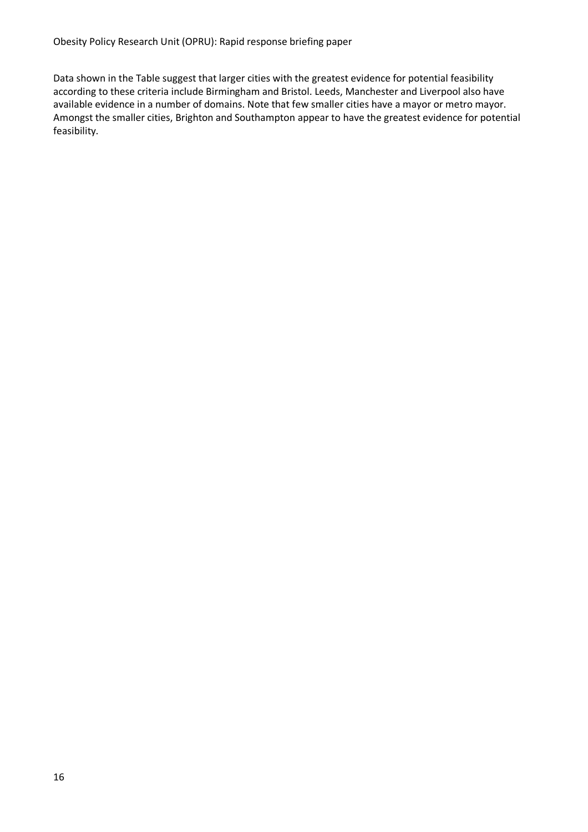Data shown in the Table suggest that larger cities with the greatest evidence for potential feasibility according to these criteria include Birmingham and Bristol. Leeds, Manchester and Liverpool also have available evidence in a number of domains. Note that few smaller cities have a mayor or metro mayor. Amongst the smaller cities, Brighton and Southampton appear to have the greatest evidence for potential feasibility.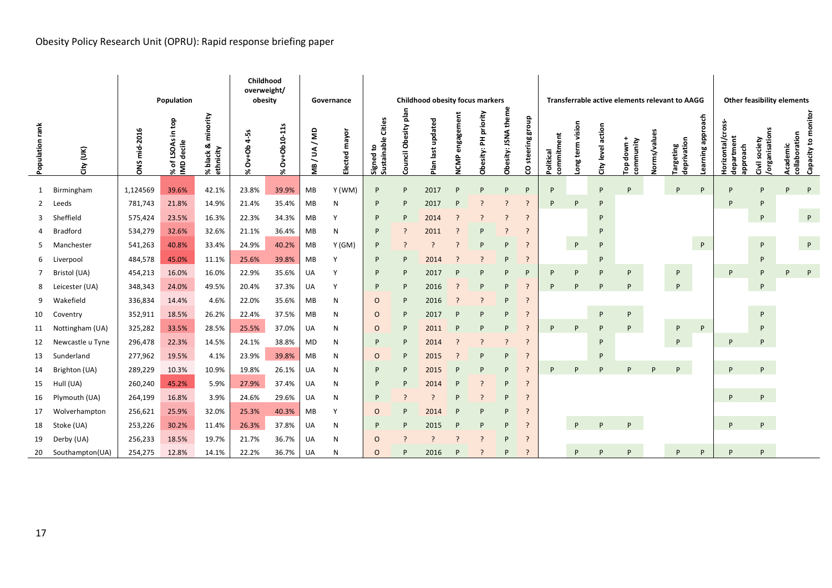# Obesity Policy Research Unit (OPRU): Rapid response briefing paper

|                 |                  |              | Population                                        |                                         | Childhood<br>overweight/<br>obesity |                   |              | Governance    | <b>Childhood obesity focus markers</b> |                      |                      | Transferrable active elements relevant to AAGG |                               |                          |                          |                         |                       | <b>Other feasibility elements</b> |                                                |                     |                                 |                     |                                            |                               |                           |                    |
|-----------------|------------------|--------------|---------------------------------------------------|-----------------------------------------|-------------------------------------|-------------------|--------------|---------------|----------------------------------------|----------------------|----------------------|------------------------------------------------|-------------------------------|--------------------------|--------------------------|-------------------------|-----------------------|-----------------------------------|------------------------------------------------|---------------------|---------------------------------|---------------------|--------------------------------------------|-------------------------------|---------------------------|--------------------|
| Population rank | ξ<br>άť          | DNS mid-2016 | e<br>G<br>of LSOAs in<br>% of LSOAs<br>IMD decile | minority<br>ಯ<br>% black &<br>ethnicity | Ov+Ob 4-5s<br>×.                    | Ov+Ob10-11s<br>×. | aw/<br>MB/UA | Elected mayor | Cities<br>Signed to<br>Sustainable (   | Council Obesity plar | updated<br>Plan last | engagement<br>NCMP                             | priority<br>폰<br>esity:<br>నే | theme<br>Obesity: JSNA   | dnoug<br>steering<br>8   | commitment<br>Political | vision<br>term<br>auo | action<br>City level              | $\ddot{}$<br>community<br>down<br>$\mathbf{e}$ | <b>Jorms/values</b> | deprivation<br><b>Targeting</b> | approach<br>earning | Horizontal/cross<br>department<br>approach | organisations<br>society<br>Ξ | collaboration<br>Academic | Capacity to monito |
| 1               | Birmingham       | 1,124569     | 39.6%                                             | 42.1%                                   | 23.8%                               | 39.9%             | MB           | Y (WM)        | P                                      | P                    | 2017                 | P                                              | P                             | P                        | P                        | P                       |                       | P                                 | P                                              |                     | P                               | P                   | P                                          | P                             | P                         | P                  |
| $\mathbf{2}$    | Leeds            | 781,743      | 21.8%                                             | 14.9%                                   | 21.4%                               | 35.4%             | MB           | N             | P                                      | P                    | 2017                 | P                                              | ?                             | - 2                      | -2                       | P                       | P                     | P                                 |                                                |                     |                                 |                     | P                                          | P                             |                           |                    |
| 3               | Sheffield        | 575,424      | 23.5%                                             | 16.3%                                   | 22.3%                               | 34.3%             | MB           |               | P                                      | P                    | 2014                 | ?                                              |                               | - 2                      | $\cdot$                  |                         |                       | P                                 |                                                |                     |                                 |                     |                                            | P                             |                           | $\mathsf{P}$       |
| 4               | <b>Bradford</b>  | 534,279      | 32.6%                                             | 32.6%                                   | 21.1%                               | 36.4%             | MB           | N             | P                                      | 7                    | 2011                 | P                                              | P                             | $\overline{\phantom{0}}$ | -2                       |                         |                       | P                                 |                                                |                     |                                 |                     |                                            |                               |                           |                    |
| 5.              | Manchester       | 541,263      | 40.8%                                             | 33.4%                                   | 24.9%                               | 40.2%             | MB           | Y (GM)        | P                                      | ?                    | $\cdot$              | ?                                              | P                             | P                        | $\overline{\phantom{0}}$ |                         | P                     | P                                 |                                                |                     |                                 | P                   |                                            | P                             |                           | P                  |
| 6               | Liverpool        | 484,578      | 45.0%                                             | 11.1%                                   | 25.6%                               | 39.8%             | MB           |               | P                                      | P                    | 2014                 |                                                |                               | P                        | $\overline{\phantom{0}}$ |                         |                       | P                                 |                                                |                     |                                 |                     |                                            | P                             |                           |                    |
| $7^{\circ}$     | Bristol (UA)     | 454,213      | 16.0%                                             | 16.0%                                   | 22.9%                               | 35.6%             | UA           | Y             | P                                      | P                    | 2017                 | P                                              | P                             | P                        | P                        | P                       | P                     | P                                 | P                                              |                     | P                               |                     | P                                          | P                             | P                         | P                  |
| 8               | Leicester (UA)   | 348,343      | 24.0%                                             | 49.5%                                   | 20.4%                               | 37.3%             | UA           | <b>V</b>      | P                                      | P                    | 2016                 | ?                                              | P                             | P                        | $\overline{?}$           | P                       | D                     | P                                 | P                                              |                     | P                               |                     |                                            | P                             |                           |                    |
| 9               | Wakefield        | 336,834      | 14.4%                                             | 4.6%                                    | 22.0%                               | 35.6%             | MB           | Ν             | O                                      | P                    | 2016                 | $\cdot$                                        |                               | P                        | -2                       |                         |                       |                                   |                                                |                     |                                 |                     |                                            |                               |                           |                    |
| 10              | Coventry         | 352,911      | 18.5%                                             | 26.2%                                   | 22.4%                               | 37.5%             | MB           | N             | $\circ$                                | P                    | 2017                 | P                                              | P                             | P                        | $\overline{\phantom{0}}$ |                         |                       | P                                 | P                                              |                     |                                 |                     |                                            | P                             |                           |                    |
| 11              | Nottingham (UA)  | 325,282      | 33.5%                                             | 28.5%                                   | 25.5%                               | 37.0%             | UA           | N             | $\circ$                                | P                    | 2011                 | P                                              | P                             | P                        | -2                       | P                       | P                     | P                                 | P                                              |                     | P                               | P                   |                                            | P                             |                           |                    |
| 12              | Newcastle u Tyne | 296,478      | 22.3%                                             | 14.5%                                   | 24.1%                               | 38.8%             | MD           | N             | P                                      | P                    | 2014                 | ?                                              | 2                             | - 2                      | $\overline{\phantom{a}}$ |                         |                       | P                                 |                                                |                     | P                               |                     | P                                          | P                             |                           |                    |
| 13              | Sunderland       | 277,962      | 19.5%                                             | 4.1%                                    | 23.9%                               | 39.8%             | MB           | N             | 0                                      | P                    | 2015                 | -?                                             | P                             | P                        | $\overline{\phantom{a}}$ |                         |                       | P                                 |                                                |                     |                                 |                     |                                            |                               |                           |                    |
| 14              | Brighton (UA)    | 289,229      | 10.3%                                             | 10.9%                                   | 19.8%                               | 26.1%             | UA           | N             | P                                      | P                    | 2015                 | P                                              | P                             | P                        | -2                       | P                       | P                     | P                                 | D                                              | P                   | <b>D</b>                        |                     | P                                          | P                             |                           |                    |
| 15              | Hull (UA)        | 260,240      | 45.2%                                             | 5.9%                                    | 27.9%                               | 37.4%             | UA           | N             | P                                      | P                    | 2014                 | P                                              | $\overline{ }$                | P                        | -2                       |                         |                       |                                   |                                                |                     |                                 |                     |                                            |                               |                           |                    |
| 16              | Plymouth (UA)    | 264,199      | 16.8%                                             | 3.9%                                    | 24.6%                               | 29.6%             | UA           | N             | P                                      | ?                    | $\cdot$              | P                                              | ?                             | P                        | -2                       |                         |                       |                                   |                                                |                     |                                 |                     | P                                          | P                             |                           |                    |
| 17              | Wolverhampton    | 256,621      | 25.9%                                             | 32.0%                                   | 25.3%                               | 40.3%             | MB           | Y             | $\circ$                                | P                    | 2014                 | P                                              | P                             | P                        | $\overline{?}$           |                         |                       |                                   |                                                |                     |                                 |                     |                                            |                               |                           |                    |
| 18              | Stoke (UA)       | 253,226      | 30.2%                                             | 11.4%                                   | 26.3%                               | 37.8%             | UA           | N             | P                                      | P                    | 2015                 | P                                              | P                             | P                        | $\cdot$                  |                         | P                     | P                                 | P                                              |                     |                                 |                     | P                                          | P                             |                           |                    |
| 19              | Derby (UA)       | 256,233      | 18.5%                                             | 19.7%                                   | 21.7%                               | 36.7%             | UA           | N             | $\circ$                                |                      | $\cdot$              | ?                                              | ?                             | P                        | -2                       |                         |                       |                                   |                                                |                     |                                 |                     |                                            |                               |                           |                    |
| 20              | Southampton(UA)  | 254,275      | 12.8%                                             | 14.1%                                   | 22.2%                               | 36.7%             | UA           | N             | $\circ$                                | P                    | 2016                 | P                                              |                               | D                        | $\overline{\phantom{0}}$ |                         | P                     | P                                 | p                                              |                     | P                               | P                   | P                                          | P                             |                           |                    |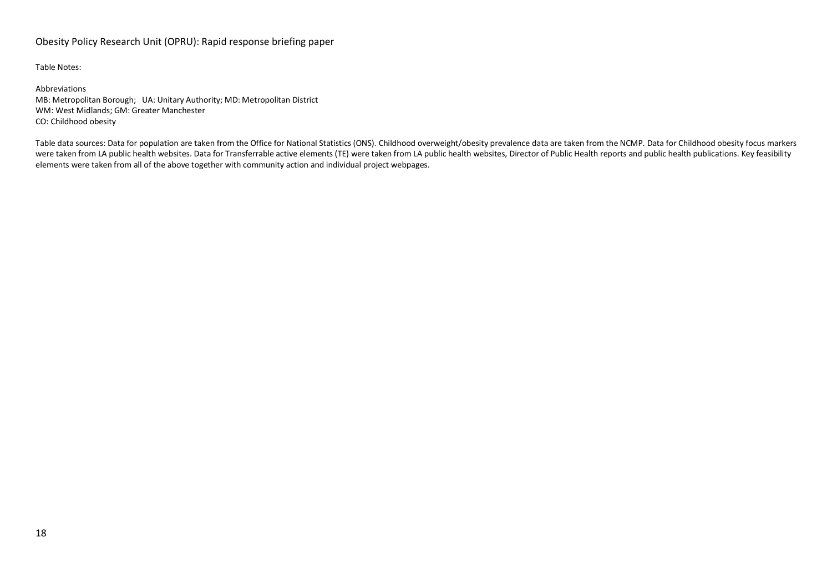#### Obesity Policy Research Unit (OPRU): Rapid response briefing paper

Table Notes:

Abbreviations MB: Metropolitan Borough; UA: Unitary Authority; MD: Metropolitan District WM: West Midlands; GM: Greater Manchester CO: Childhood obesity

Table data sources: Data for population are taken from the Office for National Statistics (ONS). Childhood overweight/obesity prevalence data are taken from the NCMP. Data for Childhood obesity focus markers were taken from LA public health websites. Data for Transferrable active elements (TE) were taken from LA public health websites, Director of Public Health reports and public health publications. Key feasibility elements were taken from all of the above together with community action and individual project webpages.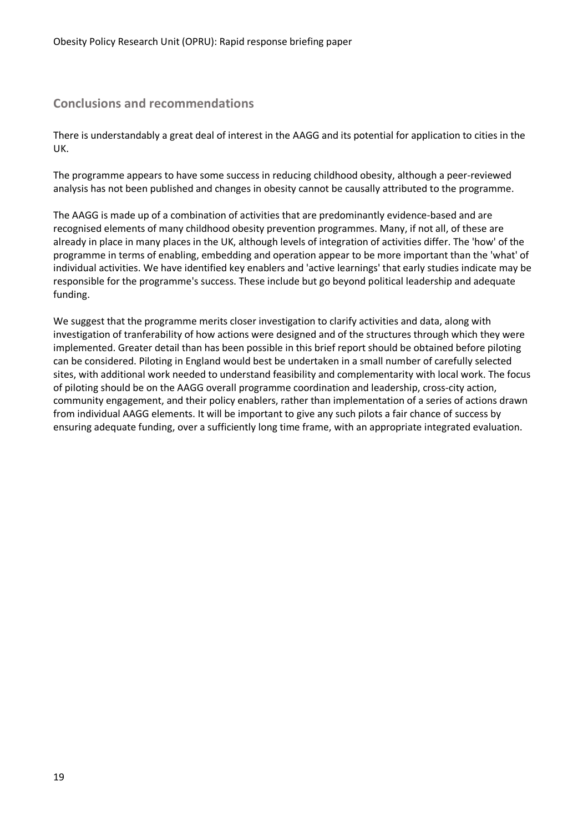# **Conclusions and recommendations**

There is understandably a great deal of interest in the AAGG and its potential for application to cities in the UK.

The programme appears to have some success in reducing childhood obesity, although a peer-reviewed analysis has not been published and changes in obesity cannot be causally attributed to the programme.

The AAGG is made up of a combination of activities that are predominantly evidence-based and are recognised elements of many childhood obesity prevention programmes. Many, if not all, of these are already in place in many places in the UK, although levels of integration of activities differ. The 'how' of the programme in terms of enabling, embedding and operation appear to be more important than the 'what' of individual activities. We have identified key enablers and 'active learnings' that early studies indicate may be responsible for the programme's success. These include but go beyond political leadership and adequate funding.

We suggest that the programme merits closer investigation to clarify activities and data, along with investigation of tranferability of how actions were designed and of the structures through which they were implemented. Greater detail than has been possible in this brief report should be obtained before piloting can be considered. Piloting in England would best be undertaken in a small number of carefully selected sites, with additional work needed to understand feasibility and complementarity with local work. The focus of piloting should be on the AAGG overall programme coordination and leadership, cross-city action, community engagement, and their policy enablers, rather than implementation of a series of actions drawn from individual AAGG elements. It will be important to give any such pilots a fair chance of success by ensuring adequate funding, over a sufficiently long time frame, with an appropriate integrated evaluation.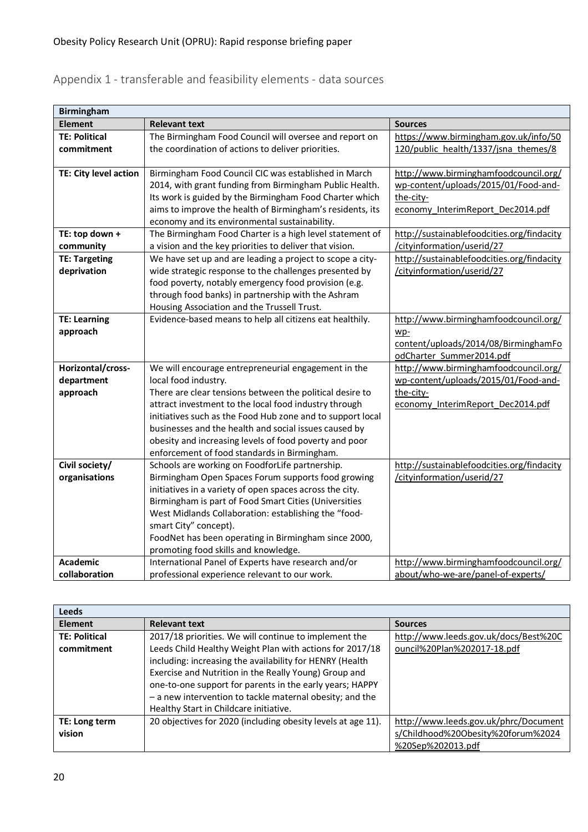# Appendix 1 - transferable and feasibility elements - data sources

| <b>Birmingham</b>               |                                                                                                                   |                                                                          |  |  |  |  |  |
|---------------------------------|-------------------------------------------------------------------------------------------------------------------|--------------------------------------------------------------------------|--|--|--|--|--|
| <b>Element</b>                  | <b>Relevant text</b>                                                                                              | <b>Sources</b>                                                           |  |  |  |  |  |
| <b>TE: Political</b>            | The Birmingham Food Council will oversee and report on                                                            | https://www.birmingham.gov.uk/info/50                                    |  |  |  |  |  |
| commitment                      | the coordination of actions to deliver priorities.                                                                | 120/public_health/1337/jsna_themes/8                                     |  |  |  |  |  |
|                                 |                                                                                                                   |                                                                          |  |  |  |  |  |
| TE: City level action           | Birmingham Food Council CIC was established in March                                                              | http://www.birminghamfoodcouncil.org/                                    |  |  |  |  |  |
|                                 | 2014, with grant funding from Birmingham Public Health.                                                           | wp-content/uploads/2015/01/Food-and-                                     |  |  |  |  |  |
|                                 | Its work is guided by the Birmingham Food Charter which                                                           | the-city-                                                                |  |  |  |  |  |
|                                 | aims to improve the health of Birmingham's residents, its                                                         | economy InterimReport Dec2014.pdf                                        |  |  |  |  |  |
|                                 | economy and its environmental sustainability.                                                                     |                                                                          |  |  |  |  |  |
| TE: top down +                  | The Birmingham Food Charter is a high level statement of                                                          | http://sustainablefoodcities.org/findacity                               |  |  |  |  |  |
| community                       | a vision and the key priorities to deliver that vision.                                                           | /cityinformation/userid/27                                               |  |  |  |  |  |
| <b>TE: Targeting</b>            | We have set up and are leading a project to scope a city-                                                         | http://sustainablefoodcities.org/findacity                               |  |  |  |  |  |
| deprivation                     | wide strategic response to the challenges presented by                                                            | /cityinformation/userid/27                                               |  |  |  |  |  |
|                                 | food poverty, notably emergency food provision (e.g.                                                              |                                                                          |  |  |  |  |  |
|                                 | through food banks) in partnership with the Ashram                                                                |                                                                          |  |  |  |  |  |
|                                 | Housing Association and the Trussell Trust.                                                                       |                                                                          |  |  |  |  |  |
| <b>TE: Learning</b>             | Evidence-based means to help all citizens eat healthily.                                                          | http://www.birminghamfoodcouncil.org/                                    |  |  |  |  |  |
| approach                        |                                                                                                                   | wp-                                                                      |  |  |  |  |  |
|                                 |                                                                                                                   | content/uploads/2014/08/BirminghamFo                                     |  |  |  |  |  |
|                                 |                                                                                                                   | odCharter Summer2014.pdf                                                 |  |  |  |  |  |
| Horizontal/cross-               | We will encourage entrepreneurial engagement in the                                                               | http://www.birminghamfoodcouncil.org/                                    |  |  |  |  |  |
| department                      | local food industry.                                                                                              | wp-content/uploads/2015/01/Food-and-                                     |  |  |  |  |  |
| approach                        | There are clear tensions between the political desire to                                                          | the-city-                                                                |  |  |  |  |  |
|                                 | attract investment to the local food industry through                                                             | economy_InterimReport_Dec2014.pdf                                        |  |  |  |  |  |
|                                 | initiatives such as the Food Hub zone and to support local                                                        |                                                                          |  |  |  |  |  |
|                                 | businesses and the health and social issues caused by                                                             |                                                                          |  |  |  |  |  |
|                                 | obesity and increasing levels of food poverty and poor                                                            |                                                                          |  |  |  |  |  |
|                                 | enforcement of food standards in Birmingham.                                                                      |                                                                          |  |  |  |  |  |
| Civil society/<br>organisations | Schools are working on FoodforLife partnership.<br>Birmingham Open Spaces Forum supports food growing             | http://sustainablefoodcities.org/findacity<br>/cityinformation/userid/27 |  |  |  |  |  |
|                                 |                                                                                                                   |                                                                          |  |  |  |  |  |
|                                 | initiatives in a variety of open spaces across the city.<br>Birmingham is part of Food Smart Cities (Universities |                                                                          |  |  |  |  |  |
|                                 | West Midlands Collaboration: establishing the "food-                                                              |                                                                          |  |  |  |  |  |
|                                 | smart City" concept).                                                                                             |                                                                          |  |  |  |  |  |
|                                 | FoodNet has been operating in Birmingham since 2000,                                                              |                                                                          |  |  |  |  |  |
|                                 | promoting food skills and knowledge.                                                                              |                                                                          |  |  |  |  |  |
| <b>Academic</b>                 | International Panel of Experts have research and/or                                                               | http://www.birminghamfoodcouncil.org/                                    |  |  |  |  |  |
| collaboration                   | professional experience relevant to our work.                                                                     | about/who-we-are/panel-of-experts/                                       |  |  |  |  |  |
|                                 |                                                                                                                   |                                                                          |  |  |  |  |  |

| <b>Leeds</b>         |                                                              |                                       |
|----------------------|--------------------------------------------------------------|---------------------------------------|
| <b>Element</b>       | <b>Relevant text</b>                                         | <b>Sources</b>                        |
| <b>TE: Political</b> | 2017/18 priorities. We will continue to implement the        | http://www.leeds.gov.uk/docs/Best%20C |
| commitment           | Leeds Child Healthy Weight Plan with actions for 2017/18     | ouncil%20Plan%202017-18.pdf           |
|                      | including: increasing the availability for HENRY (Health     |                                       |
|                      | Exercise and Nutrition in the Really Young) Group and        |                                       |
|                      | one-to-one support for parents in the early years; HAPPY     |                                       |
|                      | - a new intervention to tackle maternal obesity; and the     |                                       |
|                      | Healthy Start in Childcare initiative.                       |                                       |
| TE: Long term        | 20 objectives for 2020 (including obesity levels at age 11). | http://www.leeds.gov.uk/phrc/Document |
| vision               |                                                              | s/Childhood%20Obesity%20forum%2024    |
|                      |                                                              | %20Sep%202013.pdf                     |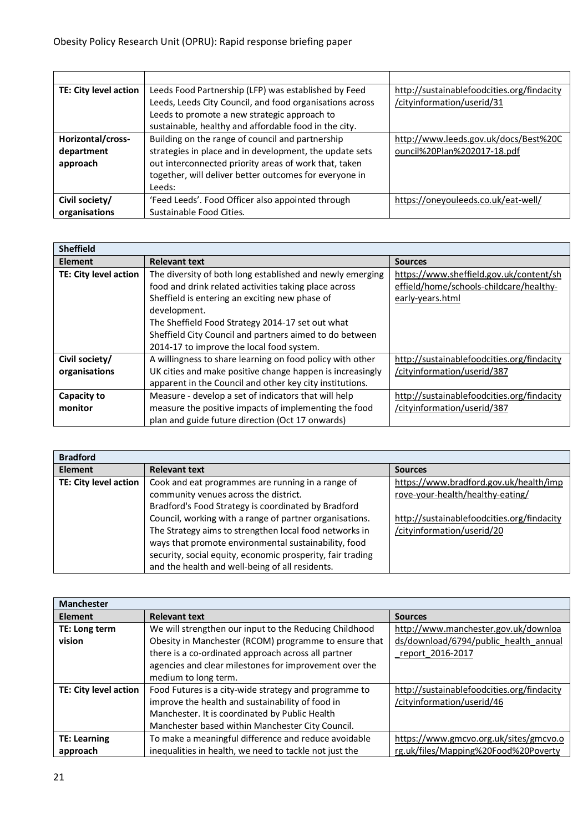| TE: City level action | Leeds Food Partnership (LFP) was established by Feed     | http://sustainablefoodcities.org/findacity |
|-----------------------|----------------------------------------------------------|--------------------------------------------|
|                       | Leeds, Leeds City Council, and food organisations across | /cityinformation/userid/31                 |
|                       | Leeds to promote a new strategic approach to             |                                            |
|                       | sustainable, healthy and affordable food in the city.    |                                            |
| Horizontal/cross-     | Building on the range of council and partnership         | http://www.leeds.gov.uk/docs/Best%20C      |
| department            | strategies in place and in development, the update sets  | ouncil%20Plan%202017-18.pdf                |
| approach              | out interconnected priority areas of work that, taken    |                                            |
|                       | together, will deliver better outcomes for everyone in   |                                            |
|                       | Leeds:                                                   |                                            |
| Civil society/        | 'Feed Leeds'. Food Officer also appointed through        | https://oneyouleeds.co.uk/eat-well/        |
| organisations         | Sustainable Food Cities.                                 |                                            |

| <b>Sheffield</b>      |                                                           |                                            |
|-----------------------|-----------------------------------------------------------|--------------------------------------------|
| <b>Element</b>        | <b>Relevant text</b>                                      | <b>Sources</b>                             |
| TE: City level action | The diversity of both long established and newly emerging | https://www.sheffield.gov.uk/content/sh    |
|                       | food and drink related activities taking place across     | effield/home/schools-childcare/healthy-    |
|                       | Sheffield is entering an exciting new phase of            | early-years.html                           |
|                       | development.                                              |                                            |
|                       | The Sheffield Food Strategy 2014-17 set out what          |                                            |
|                       | Sheffield City Council and partners aimed to do between   |                                            |
|                       | 2014-17 to improve the local food system.                 |                                            |
| Civil society/        | A willingness to share learning on food policy with other | http://sustainablefoodcities.org/findacity |
| organisations         | UK cities and make positive change happen is increasingly | /cityinformation/userid/387                |
|                       | apparent in the Council and other key city institutions.  |                                            |
| Capacity to           | Measure - develop a set of indicators that will help      | http://sustainablefoodcities.org/findacity |
| monitor               | measure the positive impacts of implementing the food     | /cityinformation/userid/387                |
|                       | plan and guide future direction (Oct 17 onwards)          |                                            |

| <b>Relevant text</b>                                       | <b>Sources</b>                             |
|------------------------------------------------------------|--------------------------------------------|
| Cook and eat programmes are running in a range of          | https://www.bradford.gov.uk/health/imp     |
| community venues across the district.                      | rove-your-health/healthy-eating/           |
| Bradford's Food Strategy is coordinated by Bradford        |                                            |
| Council, working with a range of partner organisations.    | http://sustainablefoodcities.org/findacity |
| The Strategy aims to strengthen local food networks in     | /cityinformation/userid/20                 |
| ways that promote environmental sustainability, food       |                                            |
| security, social equity, economic prosperity, fair trading |                                            |
| and the health and well-being of all residents.            |                                            |
|                                                            |                                            |

| <b>Manchester</b>     |                                                        |                                            |
|-----------------------|--------------------------------------------------------|--------------------------------------------|
| <b>Element</b>        | <b>Relevant text</b>                                   | <b>Sources</b>                             |
| TE: Long term         | We will strengthen our input to the Reducing Childhood | http://www.manchester.gov.uk/downloa       |
| vision                | Obesity in Manchester (RCOM) programme to ensure that  | ds/download/6794/public health annual      |
|                       | there is a co-ordinated approach across all partner    | report 2016-2017                           |
|                       | agencies and clear milestones for improvement over the |                                            |
|                       | medium to long term.                                   |                                            |
| TE: City level action | Food Futures is a city-wide strategy and programme to  | http://sustainablefoodcities.org/findacity |
|                       | improve the health and sustainability of food in       | /cityinformation/userid/46                 |
|                       | Manchester. It is coordinated by Public Health         |                                            |
|                       | Manchester based within Manchester City Council.       |                                            |
| <b>TE: Learning</b>   | To make a meaningful difference and reduce avoidable   | https://www.gmcvo.org.uk/sites/gmcvo.o     |
| approach              | inequalities in health, we need to tackle not just the | rg.uk/files/Mapping%20Food%20Poverty       |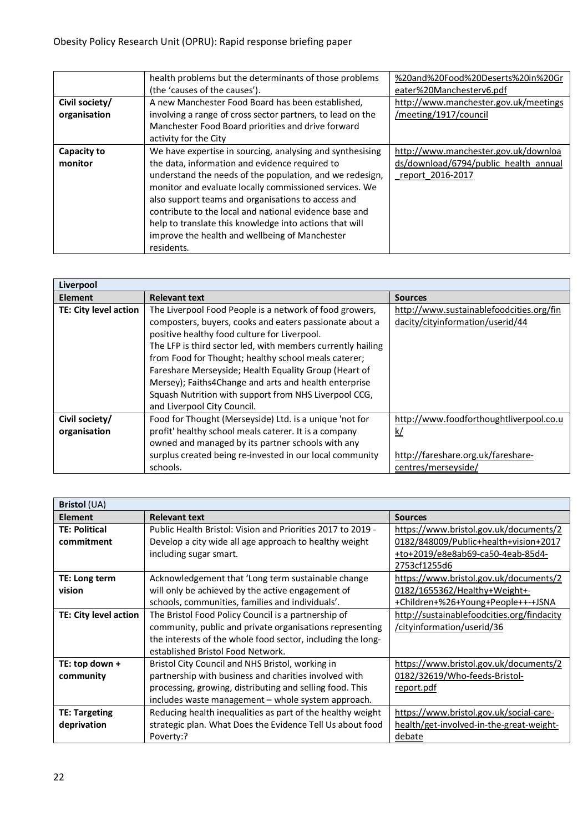|                | health problems but the determinants of those problems     | %20and%20Food%20Deserts%20in%20Gr     |
|----------------|------------------------------------------------------------|---------------------------------------|
|                | (the 'causes of the causes').                              | eater%20Manchesterv6.pdf              |
| Civil society/ | A new Manchester Food Board has been established,          | http://www.manchester.gov.uk/meetings |
| organisation   | involving a range of cross sector partners, to lead on the | /meeting/1917/council                 |
|                | Manchester Food Board priorities and drive forward         |                                       |
|                | activity for the City                                      |                                       |
| Capacity to    | We have expertise in sourcing, analysing and synthesising  | http://www.manchester.gov.uk/downloa  |
| monitor        | the data, information and evidence required to             | ds/download/6794/public health annual |
|                | understand the needs of the population, and we redesign,   | report 2016-2017                      |
|                | monitor and evaluate locally commissioned services. We     |                                       |
|                | also support teams and organisations to access and         |                                       |
|                | contribute to the local and national evidence base and     |                                       |
|                | help to translate this knowledge into actions that will    |                                       |
|                | improve the health and wellbeing of Manchester             |                                       |
|                | residents.                                                 |                                       |

| Liverpool                      |                                                                                                                                                                                                                                                                                                                                                                                                                                                                                                     |                                                                              |
|--------------------------------|-----------------------------------------------------------------------------------------------------------------------------------------------------------------------------------------------------------------------------------------------------------------------------------------------------------------------------------------------------------------------------------------------------------------------------------------------------------------------------------------------------|------------------------------------------------------------------------------|
| <b>Element</b>                 | <b>Relevant text</b>                                                                                                                                                                                                                                                                                                                                                                                                                                                                                | <b>Sources</b>                                                               |
| TE: City level action          | The Liverpool Food People is a network of food growers,<br>composters, buyers, cooks and eaters passionate about a<br>positive healthy food culture for Liverpool.<br>The LFP is third sector led, with members currently hailing<br>from Food for Thought; healthy school meals caterer;<br>Fareshare Merseyside; Health Equality Group (Heart of<br>Mersey); Faiths4Change and arts and health enterprise<br>Squash Nutrition with support from NHS Liverpool CCG,<br>and Liverpool City Council. | http://www.sustainablefoodcities.org/fin<br>dacity/cityinformation/userid/44 |
|                                |                                                                                                                                                                                                                                                                                                                                                                                                                                                                                                     |                                                                              |
| Civil society/<br>organisation | Food for Thought (Merseyside) Ltd. is a unique 'not for<br>profit' healthy school meals caterer. It is a company<br>owned and managed by its partner schools with any                                                                                                                                                                                                                                                                                                                               | http://www.foodforthoughtliverpool.co.u<br><u>k/</u>                         |
|                                | surplus created being re-invested in our local community                                                                                                                                                                                                                                                                                                                                                                                                                                            | http://fareshare.org.uk/fareshare-                                           |
|                                | schools.                                                                                                                                                                                                                                                                                                                                                                                                                                                                                            | centres/merseyside/                                                          |

| <b>Bristol</b> (UA)   |                                                             |                                            |
|-----------------------|-------------------------------------------------------------|--------------------------------------------|
| <b>Element</b>        | <b>Relevant text</b>                                        | <b>Sources</b>                             |
| <b>TE: Political</b>  | Public Health Bristol: Vision and Priorities 2017 to 2019 - | https://www.bristol.gov.uk/documents/2     |
| commitment            | Develop a city wide all age approach to healthy weight      | 0182/848009/Public+health+vision+2017      |
|                       | including sugar smart.                                      | +to+2019/e8e8ab69-ca50-4eab-85d4-          |
|                       |                                                             | 2753cf1255d6                               |
| TE: Long term         | Acknowledgement that 'Long term sustainable change          | https://www.bristol.gov.uk/documents/2     |
| vision                | will only be achieved by the active engagement of           | 0182/1655362/Healthy+Weight+-              |
|                       | schools, communities, families and individuals'.            | +Children+%26+Young+People++-+JSNA         |
| TE: City level action | The Bristol Food Policy Council is a partnership of         | http://sustainablefoodcities.org/findacity |
|                       | community, public and private organisations representing    | /cityinformation/userid/36                 |
|                       | the interests of the whole food sector, including the long- |                                            |
|                       | established Bristol Food Network.                           |                                            |
| TE: top down +        | Bristol City Council and NHS Bristol, working in            | https://www.bristol.gov.uk/documents/2     |
| community             | partnership with business and charities involved with       | 0182/32619/Who-feeds-Bristol-              |
|                       | processing, growing, distributing and selling food. This    | report.pdf                                 |
|                       | includes waste management - whole system approach.          |                                            |
| <b>TE: Targeting</b>  | Reducing health inequalities as part of the healthy weight  | https://www.bristol.gov.uk/social-care-    |
| deprivation           | strategic plan. What Does the Evidence Tell Us about food   | health/get-involved-in-the-great-weight-   |
|                       | Poverty:?                                                   | debate                                     |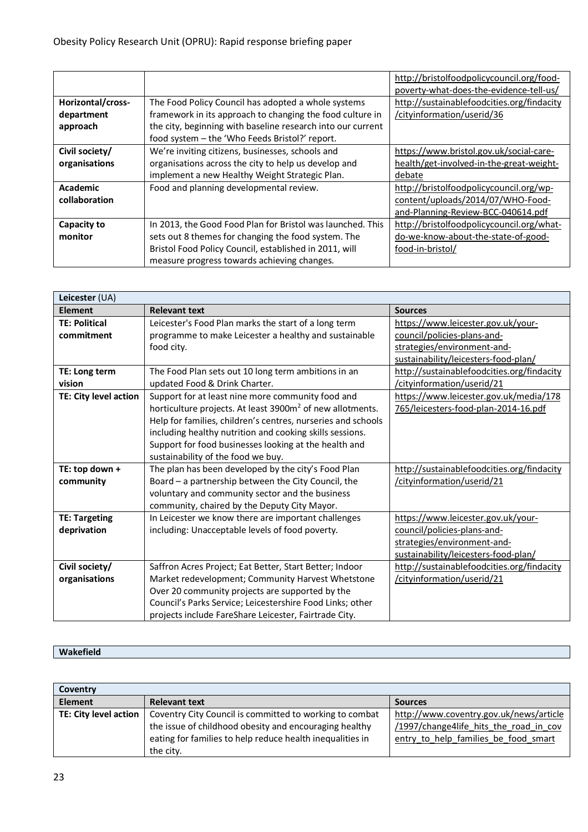|                   |                                                             | http://bristolfoodpolicycouncil.org/food-  |
|-------------------|-------------------------------------------------------------|--------------------------------------------|
|                   |                                                             | poverty-what-does-the-evidence-tell-us/    |
| Horizontal/cross- | The Food Policy Council has adopted a whole systems         | http://sustainablefoodcities.org/findacity |
| department        | framework in its approach to changing the food culture in   | /cityinformation/userid/36                 |
| approach          | the city, beginning with baseline research into our current |                                            |
|                   | food system - the 'Who Feeds Bristol?' report.              |                                            |
| Civil society/    | We're inviting citizens, businesses, schools and            | https://www.bristol.gov.uk/social-care-    |
| organisations     | organisations across the city to help us develop and        | health/get-involved-in-the-great-weight-   |
|                   | implement a new Healthy Weight Strategic Plan.              | debate                                     |
| <b>Academic</b>   | Food and planning developmental review.                     | http://bristolfoodpolicycouncil.org/wp-    |
| collaboration     |                                                             | content/uploads/2014/07/WHO-Food-          |
|                   |                                                             | and-Planning-Review-BCC-040614.pdf         |
| Capacity to       | In 2013, the Good Food Plan for Bristol was launched. This  | http://bristolfoodpolicycouncil.org/what-  |
| monitor           | sets out 8 themes for changing the food system. The         | do-we-know-about-the-state-of-good-        |
|                   | Bristol Food Policy Council, established in 2011, will      | food-in-bristol/                           |
|                   | measure progress towards achieving changes.                 |                                            |

| Leicester (UA)        |                                                                       |                                            |
|-----------------------|-----------------------------------------------------------------------|--------------------------------------------|
| <b>Element</b>        | <b>Relevant text</b>                                                  | <b>Sources</b>                             |
| <b>TE: Political</b>  | Leicester's Food Plan marks the start of a long term                  | https://www.leicester.gov.uk/your-         |
| commitment            | programme to make Leicester a healthy and sustainable                 | council/policies-plans-and-                |
|                       | food city.                                                            | strategies/environment-and-                |
|                       |                                                                       | sustainability/leicesters-food-plan/       |
| TE: Long term         | The Food Plan sets out 10 long term ambitions in an                   | http://sustainablefoodcities.org/findacity |
| vision                | updated Food & Drink Charter.                                         | /cityinformation/userid/21                 |
| TE: City level action | Support for at least nine more community food and                     | https://www.leicester.gov.uk/media/178     |
|                       | horticulture projects. At least 3900m <sup>2</sup> of new allotments. | 765/leicesters-food-plan-2014-16.pdf       |
|                       | Help for families, children's centres, nurseries and schools          |                                            |
|                       | including healthy nutrition and cooking skills sessions.              |                                            |
|                       | Support for food businesses looking at the health and                 |                                            |
|                       | sustainability of the food we buy.                                    |                                            |
| TE: top down +        | The plan has been developed by the city's Food Plan                   | http://sustainablefoodcities.org/findacity |
| community             | Board - a partnership between the City Council, the                   | /cityinformation/userid/21                 |
|                       | voluntary and community sector and the business                       |                                            |
|                       | community, chaired by the Deputy City Mayor.                          |                                            |
| <b>TE: Targeting</b>  | In Leicester we know there are important challenges                   | https://www.leicester.gov.uk/your-         |
| deprivation           | including: Unacceptable levels of food poverty.                       | council/policies-plans-and-                |
|                       |                                                                       | strategies/environment-and-                |
|                       |                                                                       | sustainability/leicesters-food-plan/       |
| Civil society/        | Saffron Acres Project; Eat Better, Start Better; Indoor               | http://sustainablefoodcities.org/findacity |
| organisations         | Market redevelopment; Community Harvest Whetstone                     | /cityinformation/userid/21                 |
|                       | Over 20 community projects are supported by the                       |                                            |
|                       | Council's Parks Service; Leicestershire Food Links; other             |                                            |
|                       | projects include FareShare Leicester, Fairtrade City.                 |                                            |

# **Wakefield**

| Coventry              |                                                                                                                                                                                             |                                                                                                                           |
|-----------------------|---------------------------------------------------------------------------------------------------------------------------------------------------------------------------------------------|---------------------------------------------------------------------------------------------------------------------------|
| <b>Element</b>        | <b>Relevant text</b>                                                                                                                                                                        | <b>Sources</b>                                                                                                            |
| TE: City level action | Coventry City Council is committed to working to combat<br>the issue of childhood obesity and encouraging healthy<br>eating for families to help reduce health inequalities in<br>the city. | http://www.coventry.gov.uk/news/article<br>/1997/change4life hits the road in cov<br>entry to help families be food smart |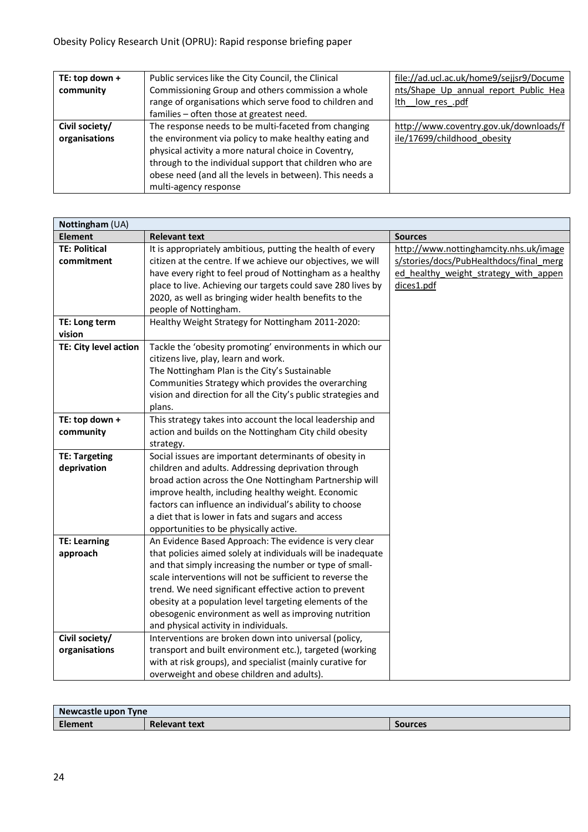| TE: top down + | Public services like the City Council, the Clinical      | file://ad.ucl.ac.uk/home9/sejjsr9/Docume |
|----------------|----------------------------------------------------------|------------------------------------------|
| community      | Commissioning Group and others commission a whole        | nts/Shape Up annual report Public Hea    |
|                | range of organisations which serve food to children and  | low res .pdf<br>lth                      |
|                | families - often those at greatest need.                 |                                          |
| Civil society/ | The response needs to be multi-faceted from changing     | http://www.coventry.gov.uk/downloads/f   |
| organisations  | the environment via policy to make healthy eating and    | ile/17699/childhood obesity              |
|                | physical activity a more natural choice in Coventry,     |                                          |
|                | through to the individual support that children who are  |                                          |
|                | obese need (and all the levels in between). This needs a |                                          |
|                | multi-agency response                                    |                                          |

| Nottingham (UA)       |                                                               |                                         |
|-----------------------|---------------------------------------------------------------|-----------------------------------------|
| <b>Element</b>        | <b>Relevant text</b>                                          | <b>Sources</b>                          |
| <b>TE: Political</b>  | It is appropriately ambitious, putting the health of every    | http://www.nottinghamcity.nhs.uk/image  |
| commitment            | citizen at the centre. If we achieve our objectives, we will  | s/stories/docs/PubHealthdocs/final merg |
|                       | have every right to feel proud of Nottingham as a healthy     | ed_healthy_weight_strategy_with_appen   |
|                       | place to live. Achieving our targets could save 280 lives by  | dices1.pdf                              |
|                       | 2020, as well as bringing wider health benefits to the        |                                         |
|                       | people of Nottingham.                                         |                                         |
| TE: Long term         | Healthy Weight Strategy for Nottingham 2011-2020:             |                                         |
| vision                |                                                               |                                         |
| TE: City level action | Tackle the 'obesity promoting' environments in which our      |                                         |
|                       | citizens live, play, learn and work.                          |                                         |
|                       | The Nottingham Plan is the City's Sustainable                 |                                         |
|                       | Communities Strategy which provides the overarching           |                                         |
|                       | vision and direction for all the City's public strategies and |                                         |
|                       | plans.                                                        |                                         |
| TE: top down +        | This strategy takes into account the local leadership and     |                                         |
| community             | action and builds on the Nottingham City child obesity        |                                         |
|                       | strategy.                                                     |                                         |
| <b>TE: Targeting</b>  | Social issues are important determinants of obesity in        |                                         |
| deprivation           | children and adults. Addressing deprivation through           |                                         |
|                       | broad action across the One Nottingham Partnership will       |                                         |
|                       | improve health, including healthy weight. Economic            |                                         |
|                       | factors can influence an individual's ability to choose       |                                         |
|                       | a diet that is lower in fats and sugars and access            |                                         |
|                       | opportunities to be physically active.                        |                                         |
| <b>TE: Learning</b>   | An Evidence Based Approach: The evidence is very clear        |                                         |
| approach              | that policies aimed solely at individuals will be inadequate  |                                         |
|                       | and that simply increasing the number or type of small-       |                                         |
|                       | scale interventions will not be sufficient to reverse the     |                                         |
|                       | trend. We need significant effective action to prevent        |                                         |
|                       | obesity at a population level targeting elements of the       |                                         |
|                       | obesogenic environment as well as improving nutrition         |                                         |
|                       | and physical activity in individuals.                         |                                         |
| Civil society/        | Interventions are broken down into universal (policy,         |                                         |
| organisations         | transport and built environment etc.), targeted (working      |                                         |
|                       | with at risk groups), and specialist (mainly curative for     |                                         |
|                       | overweight and obese children and adults).                    |                                         |

| Newcastle upon Tyne |                      |                |
|---------------------|----------------------|----------------|
| Element             | <b>Relevant text</b> | <b>Sources</b> |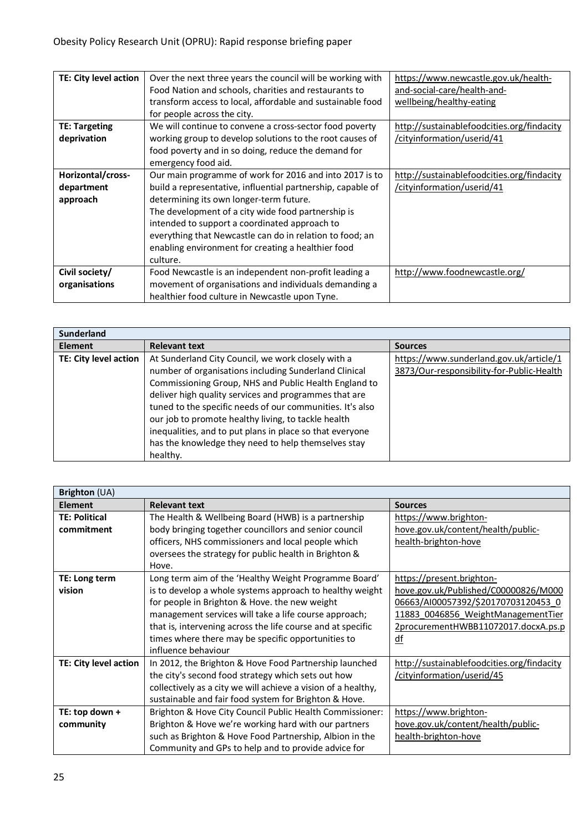| TE: City level action | Over the next three years the council will be working with  | https://www.newcastle.gov.uk/health-       |
|-----------------------|-------------------------------------------------------------|--------------------------------------------|
|                       | Food Nation and schools, charities and restaurants to       | and-social-care/health-and-                |
|                       | transform access to local, affordable and sustainable food  | wellbeing/healthy-eating                   |
|                       | for people across the city.                                 |                                            |
| <b>TE: Targeting</b>  | We will continue to convene a cross-sector food poverty     | http://sustainablefoodcities.org/findacity |
| deprivation           | working group to develop solutions to the root causes of    | /cityinformation/userid/41                 |
|                       | food poverty and in so doing, reduce the demand for         |                                            |
|                       | emergency food aid.                                         |                                            |
| Horizontal/cross-     | Our main programme of work for 2016 and into 2017 is to     | http://sustainablefoodcities.org/findacity |
| department            | build a representative, influential partnership, capable of | /cityinformation/userid/41                 |
| approach              | determining its own longer-term future.                     |                                            |
|                       | The development of a city wide food partnership is          |                                            |
|                       | intended to support a coordinated approach to               |                                            |
|                       | everything that Newcastle can do in relation to food; an    |                                            |
|                       | enabling environment for creating a healthier food          |                                            |
|                       | culture.                                                    |                                            |
| Civil society/        | Food Newcastle is an independent non-profit leading a       | http://www.foodnewcastle.org/              |
| organisations         | movement of organisations and individuals demanding a       |                                            |
|                       | healthier food culture in Newcastle upon Tyne.              |                                            |

| <b>Sunderland</b>     |                                                                                                                                                                                                                                                                                            |                                                                                      |
|-----------------------|--------------------------------------------------------------------------------------------------------------------------------------------------------------------------------------------------------------------------------------------------------------------------------------------|--------------------------------------------------------------------------------------|
| <b>Element</b>        | <b>Relevant text</b>                                                                                                                                                                                                                                                                       | <b>Sources</b>                                                                       |
| TE: City level action | At Sunderland City Council, we work closely with a<br>number of organisations including Sunderland Clinical<br>Commissioning Group, NHS and Public Health England to<br>deliver high quality services and programmes that are<br>tuned to the specific needs of our communities. It's also | https://www.sunderland.gov.uk/article/1<br>3873/Our-responsibility-for-Public-Health |
|                       | our job to promote healthy living, to tackle health<br>inequalities, and to put plans in place so that everyone<br>has the knowledge they need to help themselves stay<br>healthy.                                                                                                         |                                                                                      |

| Brighton (UA)         |                                                               |                                            |
|-----------------------|---------------------------------------------------------------|--------------------------------------------|
| <b>Element</b>        | <b>Relevant text</b>                                          | <b>Sources</b>                             |
| <b>TE: Political</b>  | The Health & Wellbeing Board (HWB) is a partnership           | https://www.brighton-                      |
| commitment            | body bringing together councillors and senior council         | hove.gov.uk/content/health/public-         |
|                       | officers, NHS commissioners and local people which            | health-brighton-hove                       |
|                       | oversees the strategy for public health in Brighton &         |                                            |
|                       | Hove.                                                         |                                            |
| TE: Long term         | Long term aim of the 'Healthy Weight Programme Board'         | https://present.brighton-                  |
| vision                | is to develop a whole systems approach to healthy weight      | hove.gov.uk/Published/C00000826/M000       |
|                       | for people in Brighton & Hove. the new weight                 | 06663/AI00057392/\$20170703120453 0        |
|                       | management services will take a life course approach;         | 11883 0046856 WeightManagementTier         |
|                       | that is, intervening across the life course and at specific   | 2procurementHWBB11072017.docxA.ps.p        |
|                       | times where there may be specific opportunities to            | df                                         |
|                       | influence behaviour                                           |                                            |
| TE: City level action | In 2012, the Brighton & Hove Food Partnership launched        | http://sustainablefoodcities.org/findacity |
|                       | the city's second food strategy which sets out how            | /cityinformation/userid/45                 |
|                       | collectively as a city we will achieve a vision of a healthy, |                                            |
|                       | sustainable and fair food system for Brighton & Hove.         |                                            |
| TE: top down +        | Brighton & Hove City Council Public Health Commissioner:      | https://www.brighton-                      |
| community             | Brighton & Hove we're working hard with our partners          | hove.gov.uk/content/health/public-         |
|                       | such as Brighton & Hove Food Partnership, Albion in the       | health-brighton-hove                       |
|                       | Community and GPs to help and to provide advice for           |                                            |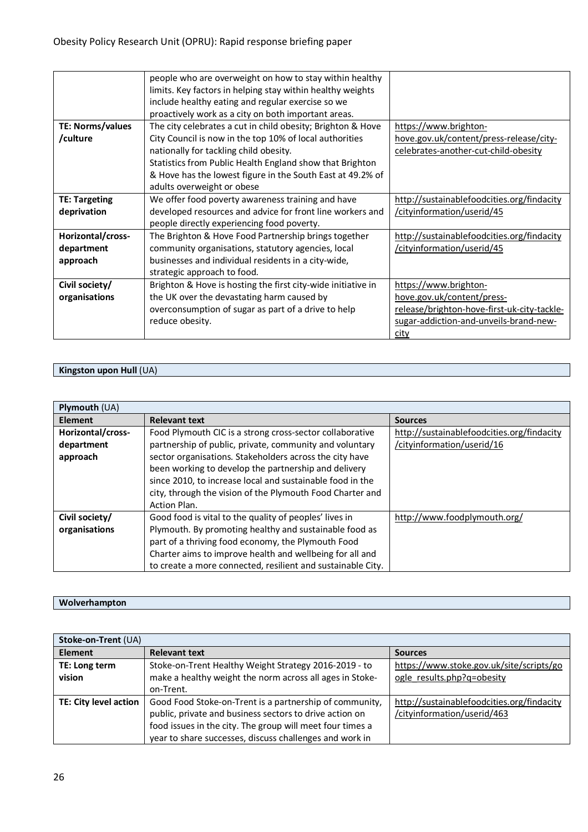|                      | people who are overweight on how to stay within healthy      |                                             |
|----------------------|--------------------------------------------------------------|---------------------------------------------|
|                      | limits. Key factors in helping stay within healthy weights   |                                             |
|                      | include healthy eating and regular exercise so we            |                                             |
|                      | proactively work as a city on both important areas.          |                                             |
| TE: Norms/values     | The city celebrates a cut in child obesity; Brighton & Hove  | https://www.brighton-                       |
| /culture             | City Council is now in the top 10% of local authorities      | hove.gov.uk/content/press-release/city-     |
|                      | nationally for tackling child obesity.                       | celebrates-another-cut-child-obesity        |
|                      | Statistics from Public Health England show that Brighton     |                                             |
|                      | & Hove has the lowest figure in the South East at 49.2% of   |                                             |
|                      | adults overweight or obese                                   |                                             |
| <b>TE: Targeting</b> | We offer food poverty awareness training and have            | http://sustainablefoodcities.org/findacity  |
| deprivation          | developed resources and advice for front line workers and    | /cityinformation/userid/45                  |
|                      | people directly experiencing food poverty.                   |                                             |
| Horizontal/cross-    | The Brighton & Hove Food Partnership brings together         | http://sustainablefoodcities.org/findacity  |
| department           | community organisations, statutory agencies, local           | /cityinformation/userid/45                  |
| approach             | businesses and individual residents in a city-wide,          |                                             |
|                      | strategic approach to food.                                  |                                             |
| Civil society/       | Brighton & Hove is hosting the first city-wide initiative in | https://www.brighton-                       |
| organisations        | the UK over the devastating harm caused by                   | hove.gov.uk/content/press-                  |
|                      | overconsumption of sugar as part of a drive to help          | release/brighton-hove-first-uk-city-tackle- |
|                      | reduce obesity.                                              | sugar-addiction-and-unveils-brand-new-      |
|                      |                                                              | city                                        |

# **Kingston upon Hull** (UA)

| <b>Plymouth (UA)</b> |                                                             |                                            |
|----------------------|-------------------------------------------------------------|--------------------------------------------|
| <b>Element</b>       | <b>Relevant text</b>                                        | <b>Sources</b>                             |
| Horizontal/cross-    | Food Plymouth CIC is a strong cross-sector collaborative    | http://sustainablefoodcities.org/findacity |
| department           | partnership of public, private, community and voluntary     | /cityinformation/userid/16                 |
| approach             | sector organisations. Stakeholders across the city have     |                                            |
|                      | been working to develop the partnership and delivery        |                                            |
|                      | since 2010, to increase local and sustainable food in the   |                                            |
|                      | city, through the vision of the Plymouth Food Charter and   |                                            |
|                      | Action Plan.                                                |                                            |
| Civil society/       | Good food is vital to the quality of peoples' lives in      | http://www.foodplymouth.org/               |
| organisations        | Plymouth. By promoting healthy and sustainable food as      |                                            |
|                      | part of a thriving food economy, the Plymouth Food          |                                            |
|                      | Charter aims to improve health and wellbeing for all and    |                                            |
|                      | to create a more connected, resilient and sustainable City. |                                            |

#### **Wolverhampton**

| Stoke-on-Trent (UA)   |                                                           |                                            |  |  |
|-----------------------|-----------------------------------------------------------|--------------------------------------------|--|--|
| <b>Element</b>        | <b>Relevant text</b>                                      | <b>Sources</b>                             |  |  |
| TE: Long term         | Stoke-on-Trent Healthy Weight Strategy 2016-2019 - to     | https://www.stoke.gov.uk/site/scripts/go   |  |  |
| vision                | make a healthy weight the norm across all ages in Stoke-  | ogle results.php?q=obesity                 |  |  |
|                       | on-Trent.                                                 |                                            |  |  |
| TE: City level action | Good Food Stoke-on-Trent is a partnership of community,   | http://sustainablefoodcities.org/findacity |  |  |
|                       | public, private and business sectors to drive action on   | /cityinformation/userid/463                |  |  |
|                       | food issues in the city. The group will meet four times a |                                            |  |  |
|                       | year to share successes, discuss challenges and work in   |                                            |  |  |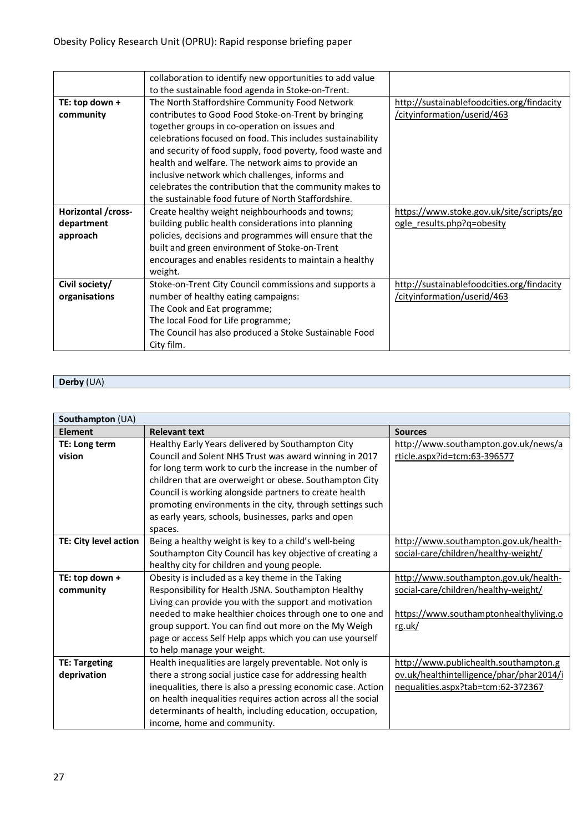|                    | collaboration to identify new opportunities to add value   |                                            |
|--------------------|------------------------------------------------------------|--------------------------------------------|
|                    | to the sustainable food agenda in Stoke-on-Trent.          |                                            |
| TE: top down +     | The North Staffordshire Community Food Network             | http://sustainablefoodcities.org/findacity |
| community          | contributes to Good Food Stoke-on-Trent by bringing        | /cityinformation/userid/463                |
|                    | together groups in co-operation on issues and              |                                            |
|                    | celebrations focused on food. This includes sustainability |                                            |
|                    | and security of food supply, food poverty, food waste and  |                                            |
|                    | health and welfare. The network aims to provide an         |                                            |
|                    | inclusive network which challenges, informs and            |                                            |
|                    | celebrates the contribution that the community makes to    |                                            |
|                    | the sustainable food future of North Staffordshire.        |                                            |
| Horizontal /cross- | Create healthy weight neighbourhoods and towns;            | https://www.stoke.gov.uk/site/scripts/go   |
| department         | building public health considerations into planning        | ogle results.php?q=obesity                 |
| approach           | policies, decisions and programmes will ensure that the    |                                            |
|                    | built and green environment of Stoke-on-Trent              |                                            |
|                    | encourages and enables residents to maintain a healthy     |                                            |
|                    | weight.                                                    |                                            |
| Civil society/     | Stoke-on-Trent City Council commissions and supports a     | http://sustainablefoodcities.org/findacity |
| organisations      | number of healthy eating campaigns:                        | /cityinformation/userid/463                |
|                    | The Cook and Eat programme;                                |                                            |
|                    | The local Food for Life programme;                         |                                            |
|                    | The Council has also produced a Stoke Sustainable Food     |                                            |
|                    | City film.                                                 |                                            |

# **Derby** (UA)

| Southampton (UA)                    |                                                                                                                                                                                                                                                                                                                                                                                                                             |                                                                                                                                   |  |  |
|-------------------------------------|-----------------------------------------------------------------------------------------------------------------------------------------------------------------------------------------------------------------------------------------------------------------------------------------------------------------------------------------------------------------------------------------------------------------------------|-----------------------------------------------------------------------------------------------------------------------------------|--|--|
| Element                             | <b>Relevant text</b>                                                                                                                                                                                                                                                                                                                                                                                                        | <b>Sources</b>                                                                                                                    |  |  |
| TE: Long term<br>vision             | Healthy Early Years delivered by Southampton City<br>Council and Solent NHS Trust was award winning in 2017<br>for long term work to curb the increase in the number of<br>children that are overweight or obese. Southampton City<br>Council is working alongside partners to create health<br>promoting environments in the city, through settings such<br>as early years, schools, businesses, parks and open<br>spaces. | http://www.southampton.gov.uk/news/a<br>rticle.aspx?id=tcm:63-396577                                                              |  |  |
| TE: City level action               | Being a healthy weight is key to a child's well-being<br>Southampton City Council has key objective of creating a<br>healthy city for children and young people.                                                                                                                                                                                                                                                            | http://www.southampton.gov.uk/health-<br>social-care/children/healthy-weight/                                                     |  |  |
| TE: top down +<br>community         | Obesity is included as a key theme in the Taking<br>Responsibility for Health JSNA. Southampton Healthy<br>Living can provide you with the support and motivation<br>needed to make healthier choices through one to one and<br>group support. You can find out more on the My Weigh<br>page or access Self Help apps which you can use yourself<br>to help manage your weight.                                             | http://www.southampton.gov.uk/health-<br>social-care/children/healthy-weight/<br>https://www.southamptonhealthyliving.o<br>rg.uk/ |  |  |
| <b>TE: Targeting</b><br>deprivation | Health inequalities are largely preventable. Not only is<br>there a strong social justice case for addressing health<br>inequalities, there is also a pressing economic case. Action<br>on health inequalities requires action across all the social<br>determinants of health, including education, occupation,<br>income, home and community.                                                                             | http://www.publichealth.southampton.g<br>ov.uk/healthintelligence/phar/phar2014/i<br>nequalities.aspx?tab=tcm:62-372367           |  |  |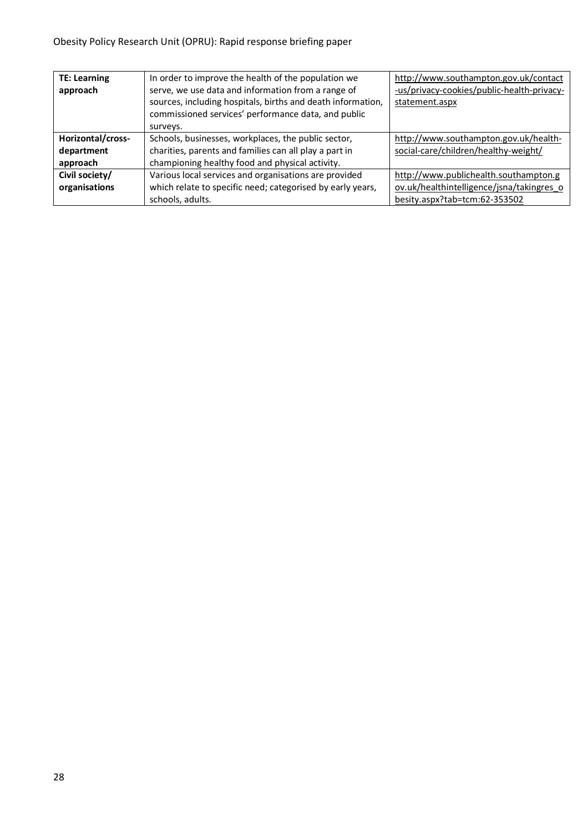| <b>TE: Learning</b> | In order to improve the health of the population we         | http://www.southampton.gov.uk/contact      |
|---------------------|-------------------------------------------------------------|--------------------------------------------|
| approach            | serve, we use data and information from a range of          | -us/privacy-cookies/public-health-privacy- |
|                     | sources, including hospitals, births and death information, | statement.aspx                             |
|                     | commissioned services' performance data, and public         |                                            |
|                     | surveys.                                                    |                                            |
| Horizontal/cross-   | Schools, businesses, workplaces, the public sector,         | http://www.southampton.gov.uk/health-      |
| department          | charities, parents and families can all play a part in      | social-care/children/healthy-weight/       |
| approach            | championing healthy food and physical activity.             |                                            |
| Civil society/      | Various local services and organisations are provided       | http://www.publichealth.southampton.g      |
| organisations       | which relate to specific need; categorised by early years,  | ov.uk/healthintelligence/jsna/takingres o  |
|                     | schools, adults.                                            | besity.aspx?tab=tcm:62-353502              |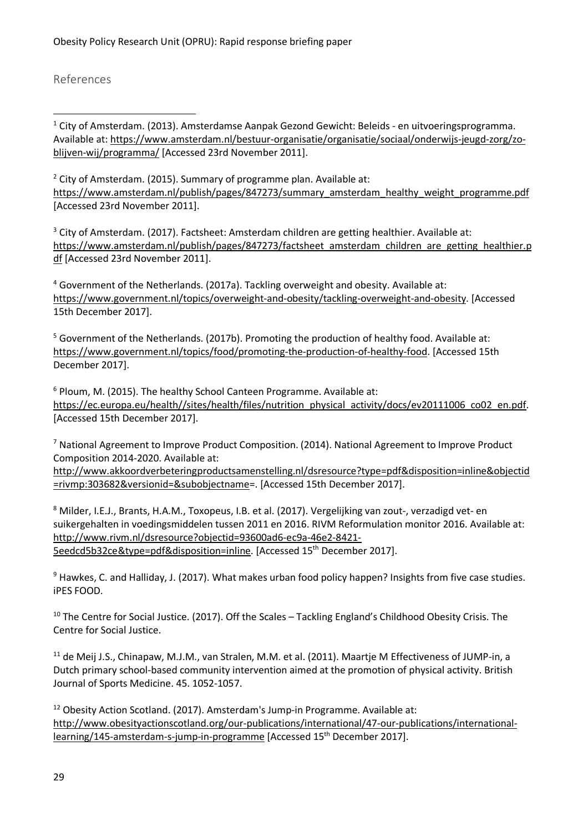References

 $\overline{a}$ 

 $1$  City of Amsterdam. (2013). Amsterdamse Aanpak Gezond Gewicht: Beleids - en uitvoeringsprogramma. Available at: https://www.amsterdam.nl/bestuur-organisatie/organisatie/sociaal/onderwijs-jeugd-zorg/zoblijven-wij/programma/ [Accessed 23rd November 2011].

 $2$  City of Amsterdam. (2015). Summary of programme plan. Available at: https://www.amsterdam.nl/publish/pages/847273/summary\_amsterdam\_healthy\_weight\_programme.pdf [Accessed 23rd November 2011].

<sup>3</sup> City of Amsterdam. (2017). Factsheet: Amsterdam children are getting healthier. Available at: https://www.amsterdam.nl/publish/pages/847273/factsheet\_amsterdam\_children\_are\_getting\_healthier.p df [Accessed 23rd November 2011].

<sup>4</sup> Government of the Netherlands. (2017a). Tackling overweight and obesity. Available at: https://www.government.nl/topics/overweight-and-obesity/tackling-overweight-and-obesity. [Accessed 15th December 2017].

<sup>5</sup> Government of the Netherlands. (2017b). Promoting the production of healthy food. Available at: https://www.government.nl/topics/food/promoting-the-production-of-healthy-food. [Accessed 15th December 2017].

<sup>6</sup> Ploum, M. (2015). The healthy School Canteen Programme. Available at: https://ec.europa.eu/health//sites/health/files/nutrition\_physical\_activity/docs/ev20111006\_co02\_en.pdf. [Accessed 15th December 2017].

<sup>7</sup> National Agreement to Improve Product Composition. (2014). National Agreement to Improve Product Composition 2014-2020. Available at:

http://www.akkoordverbeteringproductsamenstelling.nl/dsresource?type=pdf&disposition=inline&objectid =rivmp:303682&versionid=&subobjectname=. [Accessed 15th December 2017].

8 Milder, I.E.J., Brants, H.A.M., Toxopeus, I.B. et al. (2017). Vergelijking van zout-, verzadigd vet- en suikergehalten in voedingsmiddelen tussen 2011 en 2016. RIVM Reformulation monitor 2016. Available at: http://www.rivm.nl/dsresource?objectid=93600ad6-ec9a-46e2-8421- 5eedcd5b32ce&type=pdf&disposition=inline. [Accessed 15th December 2017].

 $9$  Hawkes, C. and Halliday, J. (2017). What makes urban food policy happen? Insights from five case studies. iPES FOOD.

<sup>10</sup> The Centre for Social Justice. (2017). Off the Scales – Tackling England's Childhood Obesity Crisis. The Centre for Social Justice.

<sup>11</sup> de Meij J.S., Chinapaw, M.J.M., van Stralen, M.M. et al. (2011). Maartie M Effectiveness of JUMP-in, a Dutch primary school-based community intervention aimed at the promotion of physical activity. British Journal of Sports Medicine. 45. 1052-1057.

 $12$  Obesity Action Scotland. (2017). Amsterdam's Jump-in Programme. Available at: http://www.obesityactionscotland.org/our-publications/international/47-our-publications/internationallearning/145-amsterdam-s-jump-in-programme [Accessed 15<sup>th</sup> December 2017].